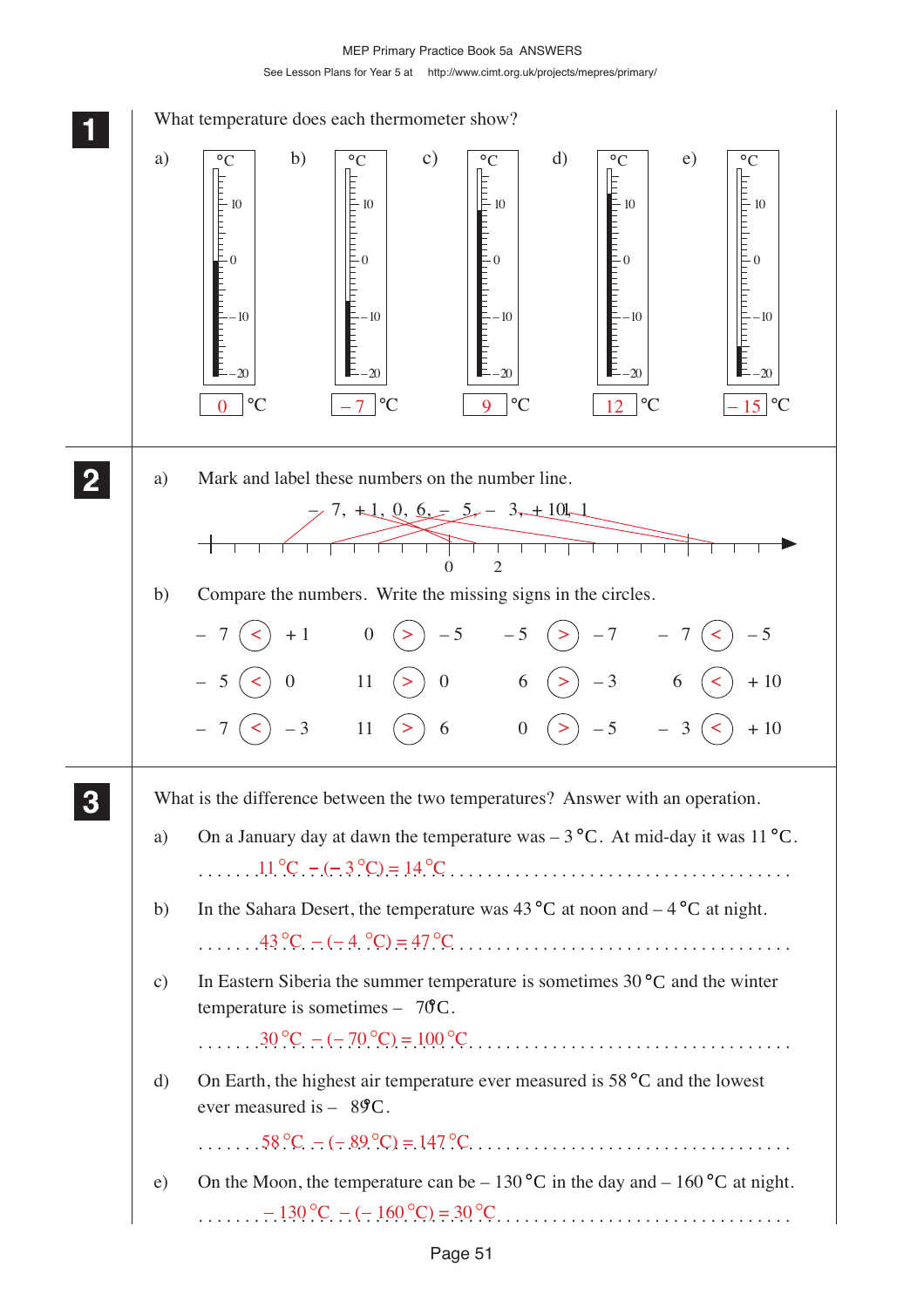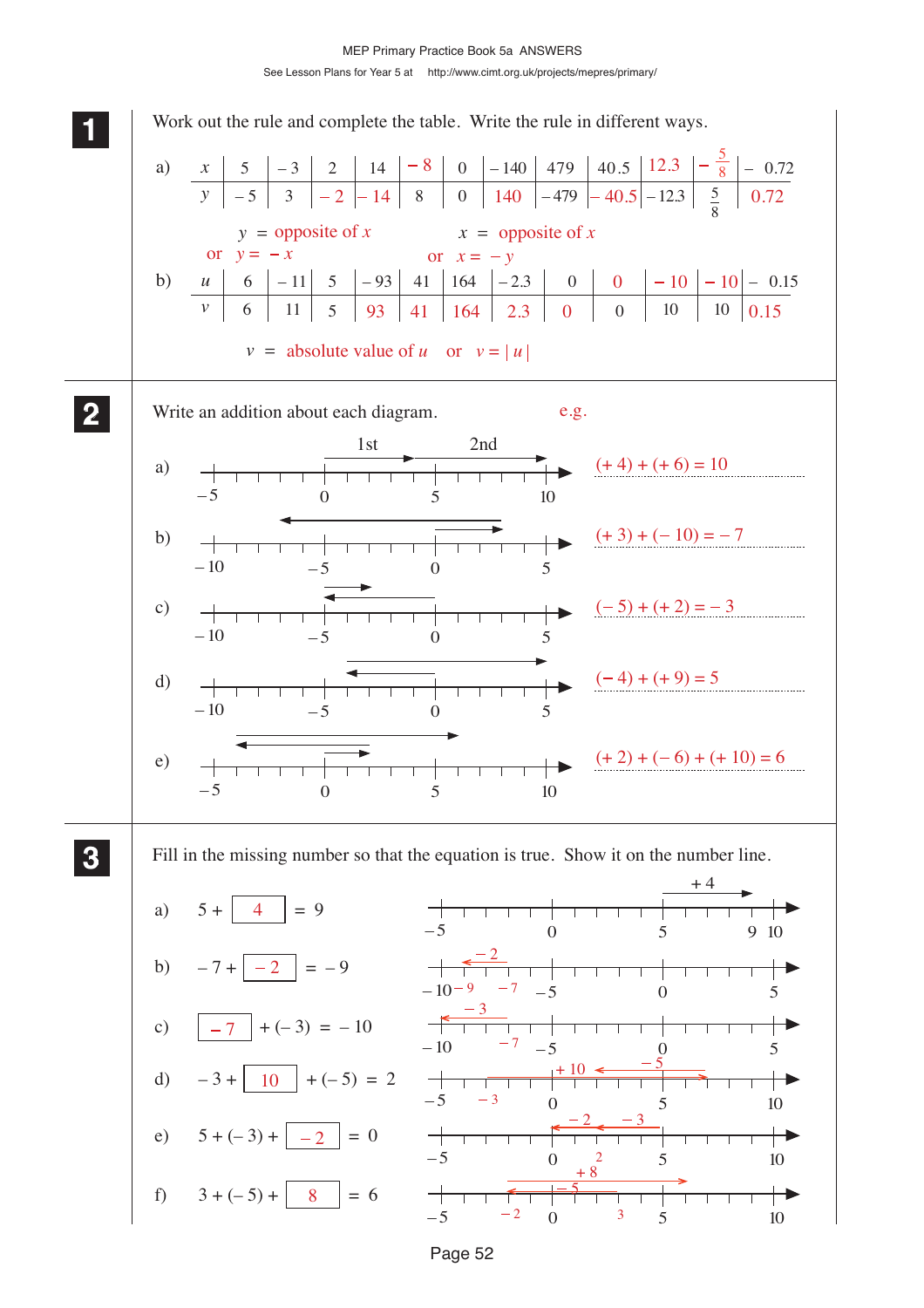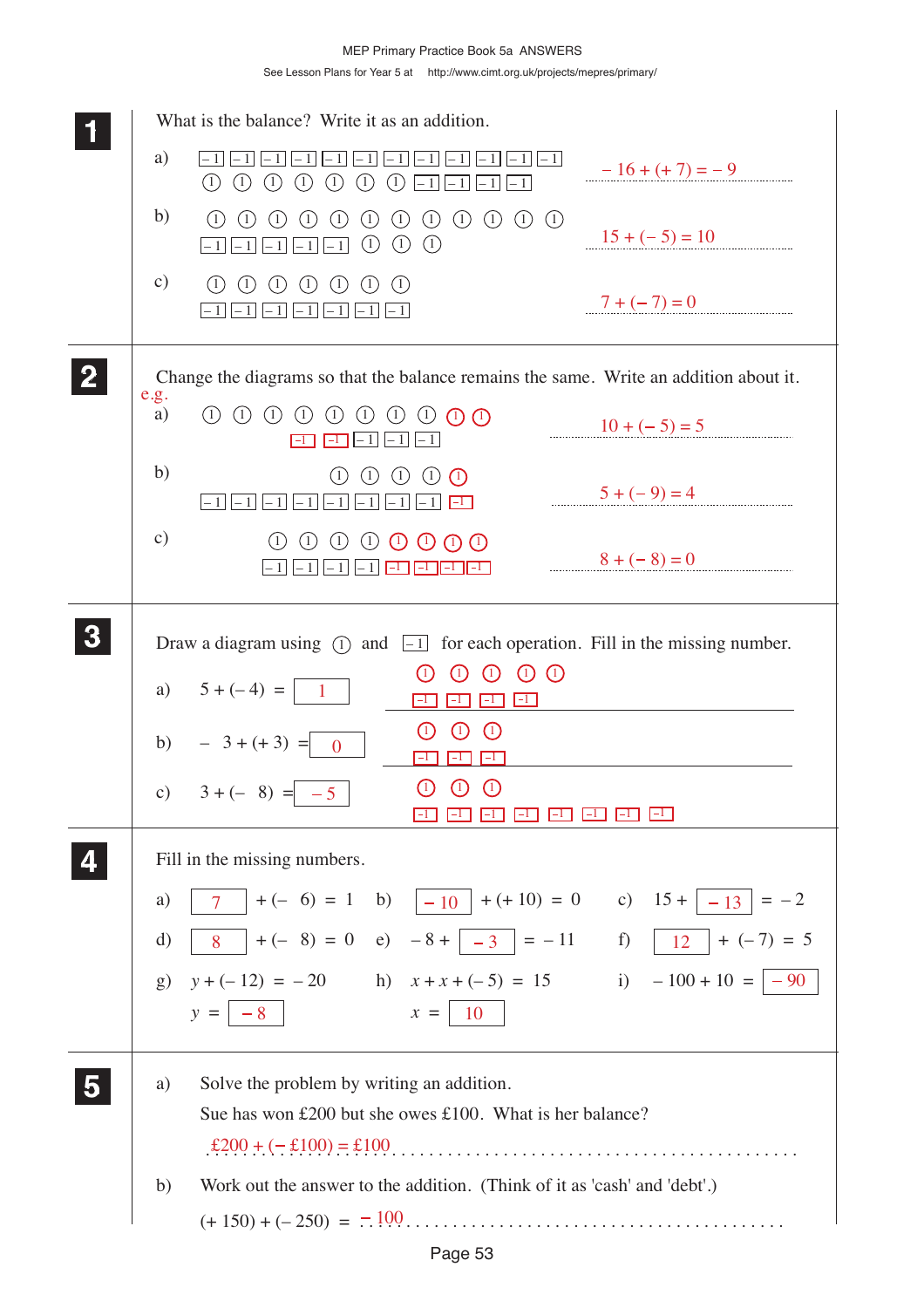|              | What is the balance? Write it as an addition.                                                                                                                                                                                                                                       |                           |
|--------------|-------------------------------------------------------------------------------------------------------------------------------------------------------------------------------------------------------------------------------------------------------------------------------------|---------------------------|
|              | a)<br>$-1$<br>- 1<br>- 11<br>$\left(1\right)$<br>(1)<br>(1)<br>(1)<br>(1)<br>(1)<br>(1)<br>$-1$<br>- 1<br>$-1$<br>$-1$                                                                                                                                                              | $-16 + (+7) = -9$         |
|              | b)<br>$\bigcirc$<br>$\left( \frac{1}{2} \right)$<br>$\bigcirc$<br>$(1)$ $(1)$ $(1)$<br>(1)<br>(1)<br>$\left(1\right)$<br>(1)<br>(1)<br>(1)<br>$\odot$<br>(1)<br>(1)<br>$-1$ $-1$<br>$-1$<br>$-1$   <br>- 1                                                                          | $15 + (-5) = 10$          |
|              | $\mathbf{c})$<br>$\left( \begin{matrix} 1 \end{matrix} \right)$<br>(1)<br>(1)<br>(1)<br>(1)<br>(1)<br>(1)<br>$-1$ $ -1$ $ -1$ $ -1$ $ -1$<br>$-1$                                                                                                                                   | $7 + (-7) = 0$            |
| $\mathbf{2}$ | Change the diagrams so that the balance remains the same. Write an addition about it.                                                                                                                                                                                               |                           |
|              | e.g.<br>$(1)$ $(1)$ $(1)$<br>$\left( \begin{matrix} 1 \end{matrix} \right)$<br>$(1)$ $(1)$<br>a)<br>(1)<br>$\bigcirc$ $\bigcirc$ $\bigcirc$<br>$-1$<br>- 1                                                                                                                          | $10 + (-5) = 5$           |
|              | b)<br>(1)<br>(1)<br>(1)<br>(1)<br>$\left( \begin{matrix} 1 \end{matrix} \right)$<br>$-1$ $-1$ $-1$<br>$ -1 $<br>$ -1 $<br>$ -1 $ $\Box$<br>$-1$    $-1$                                                                                                                             | $5 + (-9) = 4$            |
|              | $\mathbf{c})$<br>$\textcircled{\tiny{1}}$ $\textcircled{\tiny{1}}$ $\textcircled{\tiny{1}}$ $\textcircled{\tiny{1}}$<br>(1)<br>(1)<br>(1)<br>$-1$<br>$-1$<br>$ -1 $<br>- 1  <br>$ -1 $                                                                                              | $8 + (-8) = 0$            |
|              | Draw a diagram using $(1)$ and $\boxed{-1}$ for each operation. Fill in the missing number.<br>$\left( \begin{matrix} 1 \\ 0 \end{matrix} \right)$<br>$\left(1\right)$<br>1<br>a) $5 + (-4) =   1$<br>$\Box$<br>$ -1 $                                                              |                           |
|              | $\bigcirc$<br>$\left( 1\right)$<br>$\left(1\right)$<br>b) $-3+(+3) = 0$<br>$ -1 $                                                                                                                                                                                                   |                           |
|              | $\bigcirc$<br>$\bigcirc$<br>$\bigcirc$<br>c) $3 + (-8) = -5$<br>$ -1 $<br>$ -1 $<br>$-1$<br>$\vert -1 \vert$<br>$\mathbf{L}$                                                                                                                                                        | $ -1$   $ -1$  <br>$ -1 $ |
|              | Fill in the missing numbers.<br>7   + (- 6) = 1 b) $ -10 $ + (+ 10) = 0 c) 15 + $ -13 $ = -2<br>a)<br>8 + (- 8) = 0 e) - 8 + $\boxed{-3}$ = -11 f) $\boxed{12}$ + (-7) = 5<br>d)<br>$y + (-12) = -20$ h) $x + x + (-5) = 15$ i) $-100 + 10 = -90$<br>g)<br>$x =   10$<br>$y =  -8 $ |                           |
|              | Solve the problem by writing an addition.<br>a)<br>Sue has won £200 but she owes £100. What is her balance?<br>Work out the answer to the addition. (Think of it as 'cash' and 'debt'.)<br>b)                                                                                       |                           |
|              |                                                                                                                                                                                                                                                                                     |                           |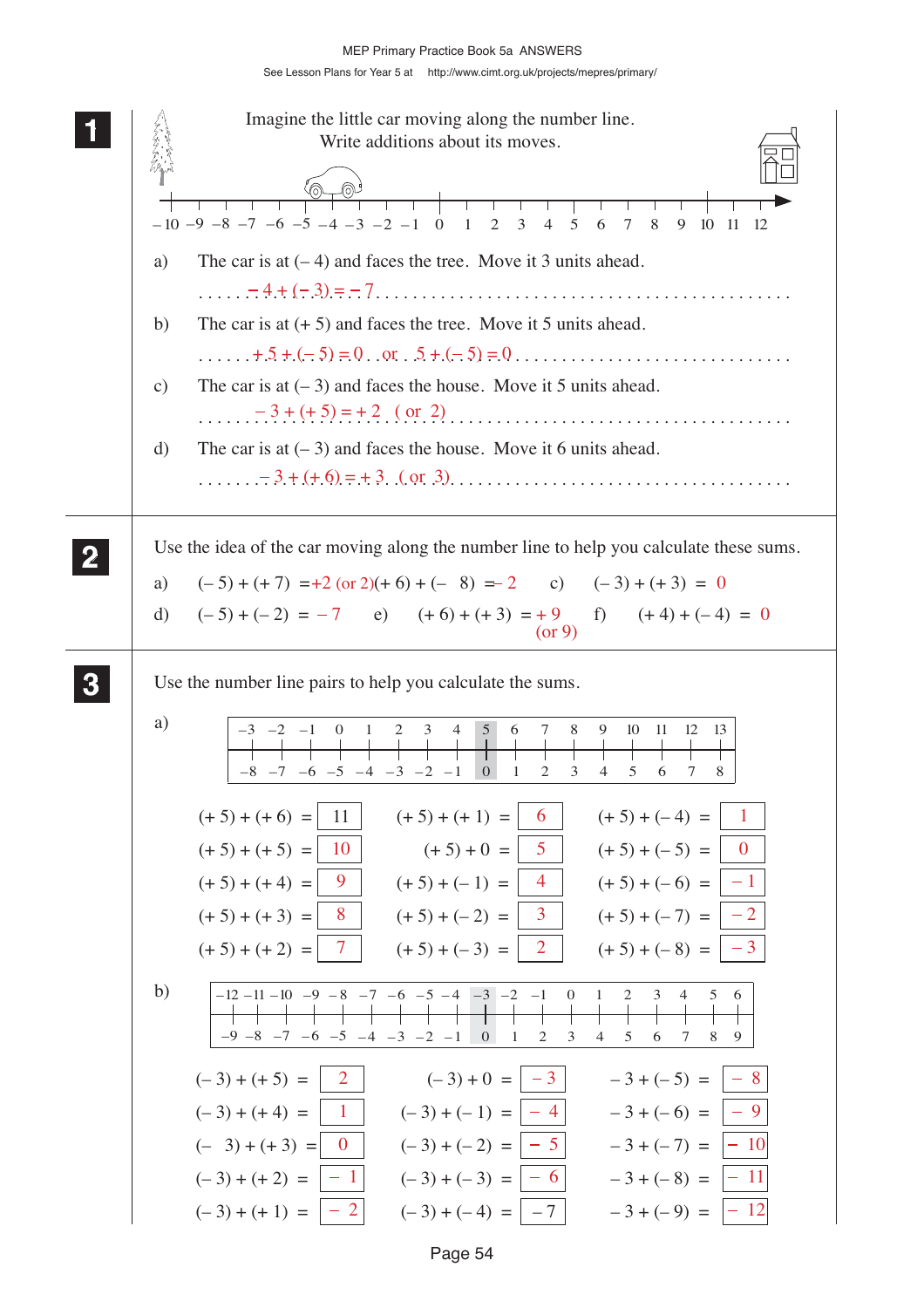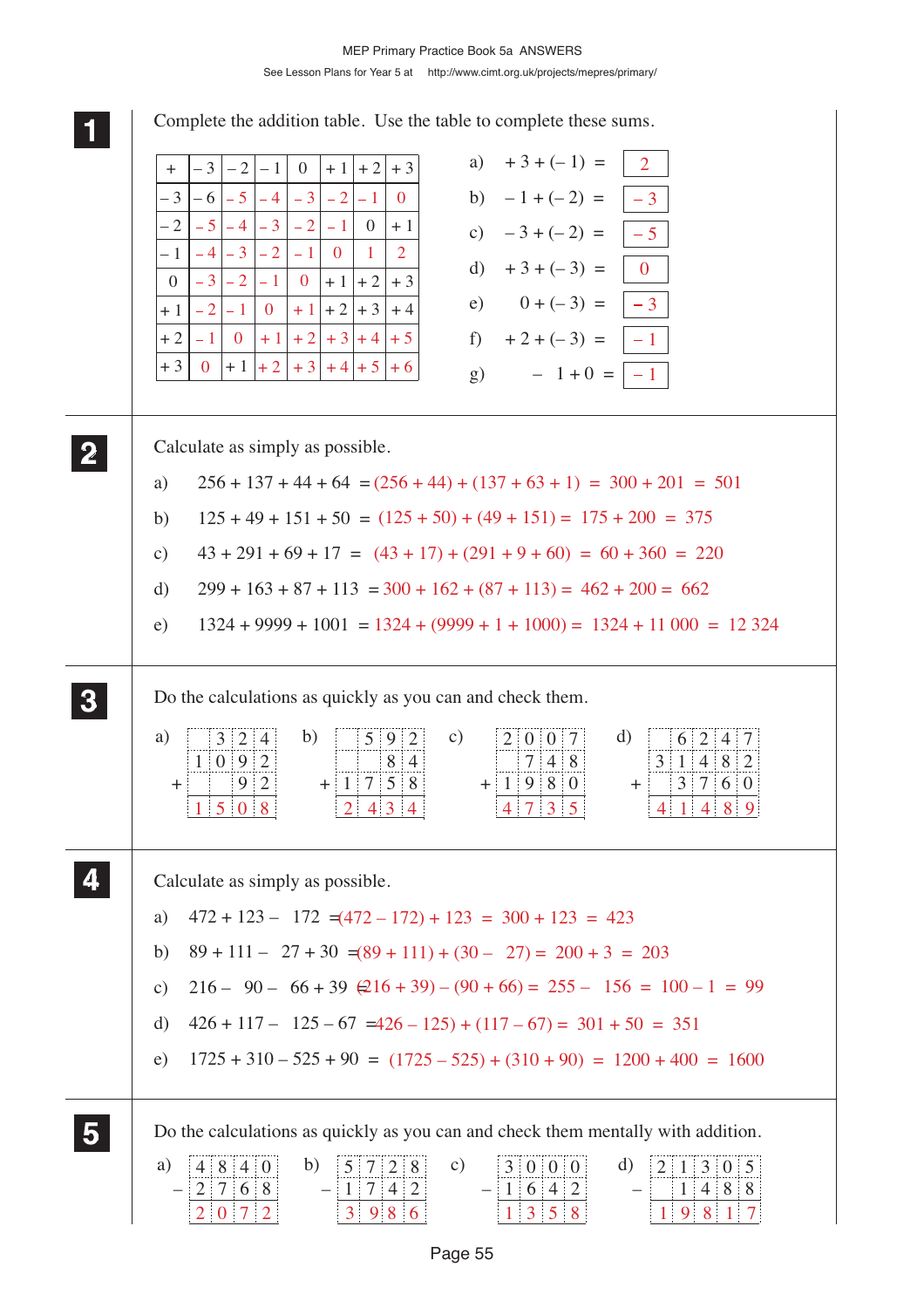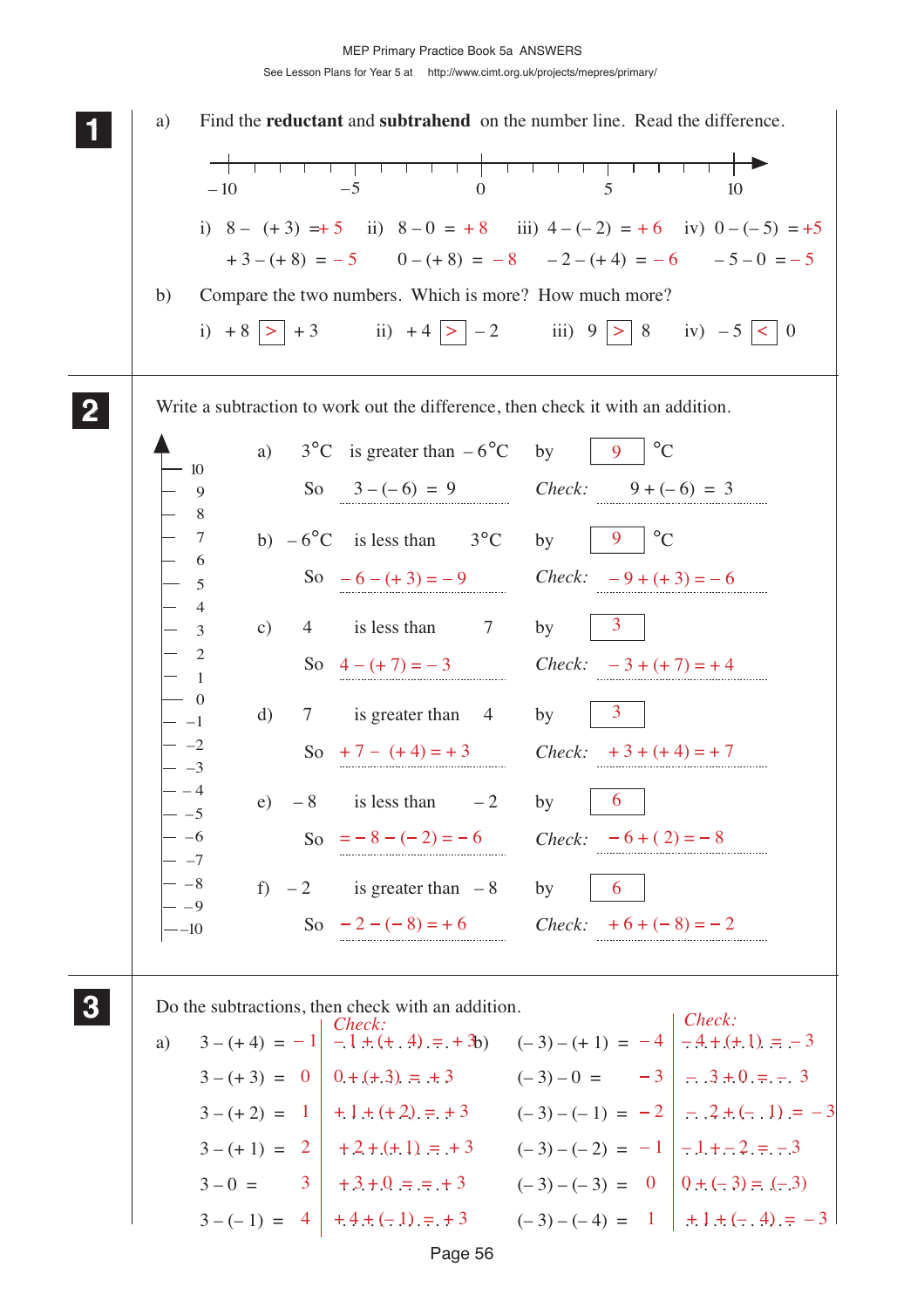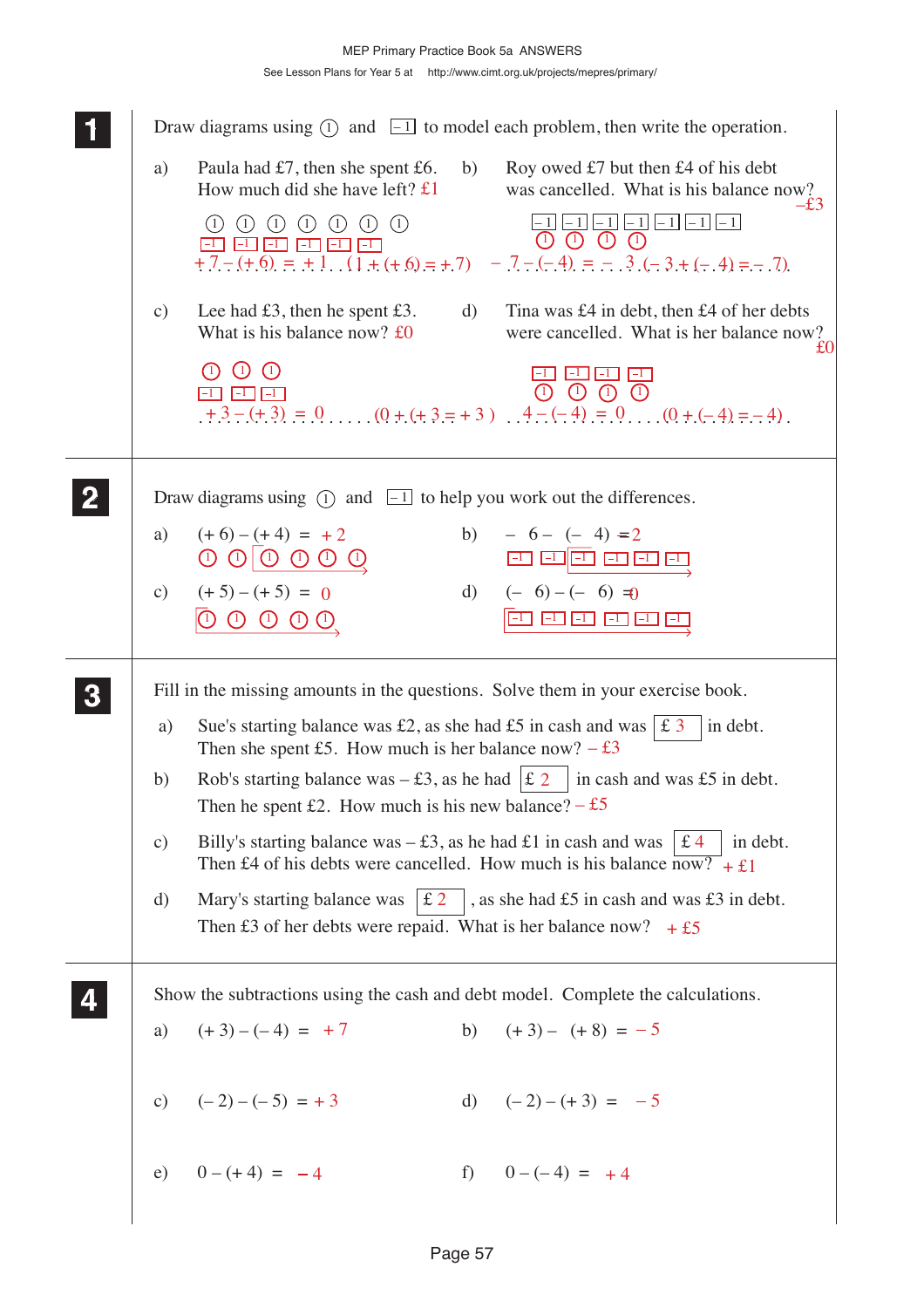## See Lesson Plans for Year 5 at http://www.cimt.org.uk/projects/mepres/primary/ MEP Primary Practice Book 5a ANSWERS

|               | Draw diagrams using $(1)$ and $\boxed{-1}$ to model each problem, then write the operation.                                                                                        |
|---------------|------------------------------------------------------------------------------------------------------------------------------------------------------------------------------------|
| a)            | Paula had $£7$ , then she spent £6.<br>b)<br>Roy owed £7 but then £4 of his debt<br>How much did she have left? $\pounds 1$<br>was cancelled. What is his balance now?             |
|               | $-1$   -1  -1  -1 <br>$\bigcirc$<br>(1)<br>(1)<br>(1)<br>(1)<br>(1)<br>(1)<br>F1 F1 F1 E1 E1 E1<br>$\pm$ 7 – (+ 6) = $\pm$ 1. (1 + (+ 6) = + 7) – 7 – (-4) = – 3 (-3+(-4) = – 7)   |
| $\mathbf{c})$ | Lee had $\pounds3$ , then he spent $\pounds3$ .<br>Tina was £4 in debt, then £4 of her debts<br>d)<br>What is his balance now? $£0$<br>were cancelled. What is her balance now?    |
|               | $(1)$ $(1)$<br>(1)<br><b>BI BI BI</b><br>$+3-(+3) = 0$ (0 + (+ 3 = +3) $\ldots$ 4 - (-4) = 0 $\ldots$ (0 + (-4) = -4).                                                             |
|               | Draw diagrams using $(1)$ and $\boxed{-1}$ to help you work out the differences.                                                                                                   |
| a)            | $(+6) - (+4) = +2$<br>b) $-6 - (-4) = 2$<br>$\begin{array}{ccc}\n\mathbb{O} & \mathbb{O} & \mathbb{O} & \mathbb{O} & \mathbb{O}\n\end{array}$<br>80 80 80 80 80 80                 |
|               | c) $(+5)-(+5) = 0$<br>d) $(-6)-(-6) = 0$<br>EU EU EU EU EU<br>$(1)$ $(1)$ $(1)$ $(1)$                                                                                              |
|               | Fill in the missing amounts in the questions. Solve them in your exercise book.                                                                                                    |
| a)            | Sue's starting balance was £2, as she had £5 in cash and was $\vert$ £ 3<br>in debt.<br>Then she spent £5. How much is her balance now? $-$ £3                                     |
| b)            | Rob's starting balance was $- \pounds 3$ , as he had $ \pounds 2 $<br>in cash and was £5 in debt.<br>Then he spent £2. How much is his new balance? $-$ £5                         |
| c)            | Billy's starting balance was $- £3$ , as he had £1 in cash and was<br>£4<br>in debt.<br>Then £4 of his debts were cancelled. How much is his balance $\overline{now?} + \pounds 1$ |
| d)            | Mary's starting balance was $\pm 2$<br>, as she had $£5$ in cash and was £3 in debt.<br>Then £3 of her debts were repaid. What is her balance now? $+£5$                           |
|               | Show the subtractions using the cash and debt model. Complete the calculations.                                                                                                    |
|               | b) $(+3) - (+8) = -5$<br>a) $(+3)-(-4) = +7$                                                                                                                                       |
|               | c) $(-2)-(-5) = +3$<br>d) $(-2) - (+3) = -5$                                                                                                                                       |
|               | e) $0 - (+4) = -4$<br>f) $0-(-4) = +4$                                                                                                                                             |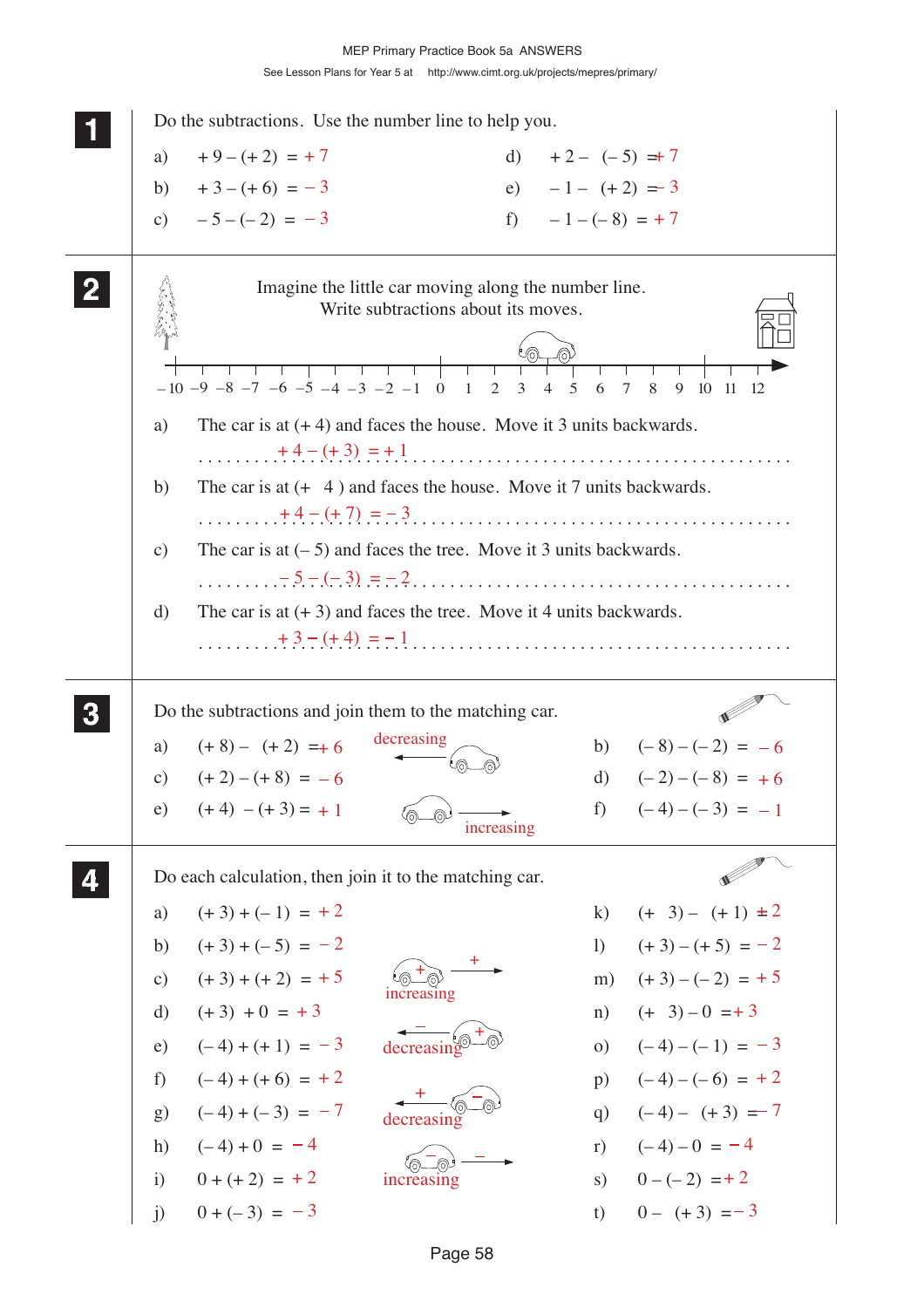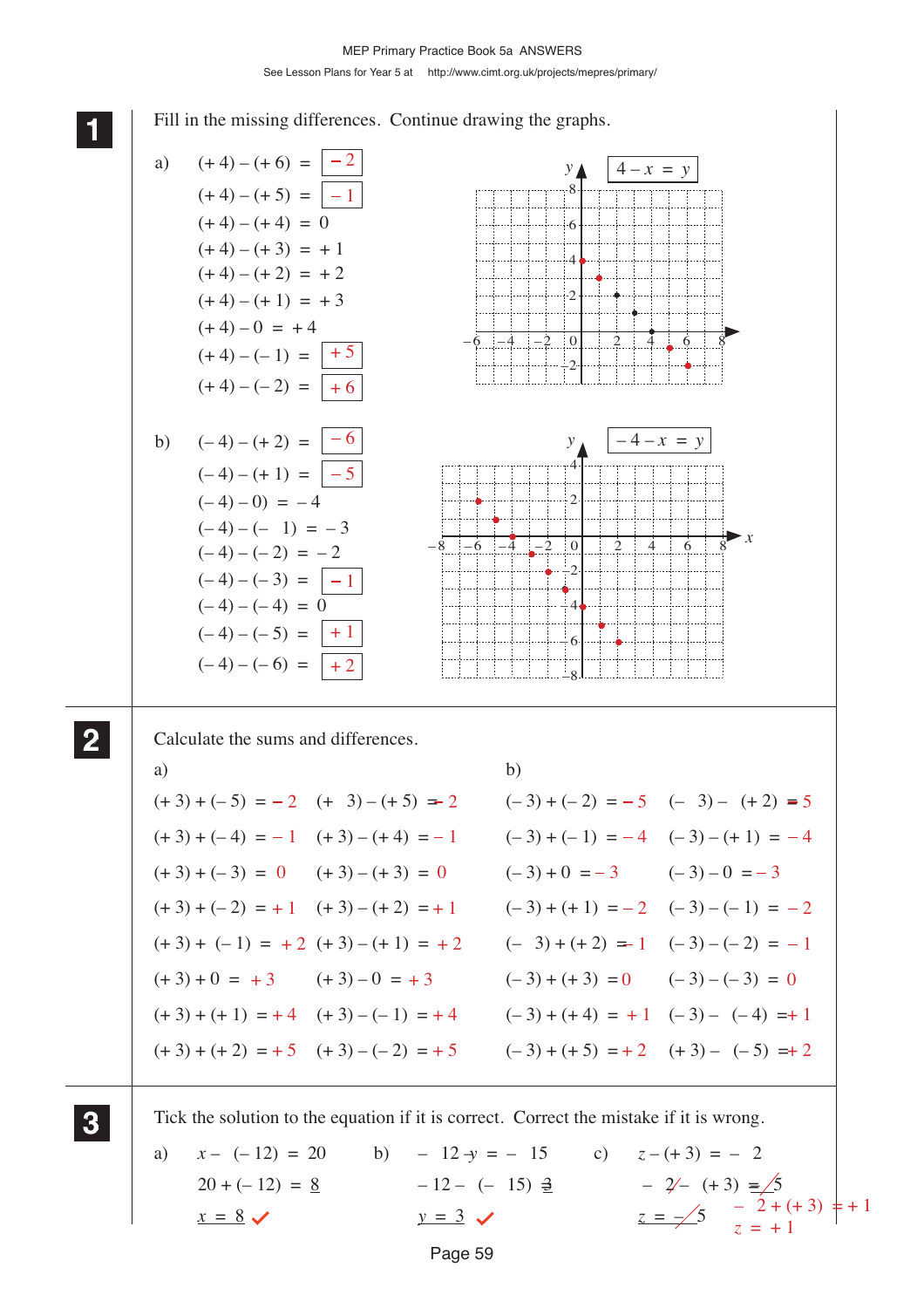See Lesson Plans for Year 5 at http://www.cimt.org.uk/projects/mepres/primary/

Page 59 **1 11** Fill in the missing differences. Continue drawing the graphs. Calculate the sums and differences. a) b)  $(+ 3) + (-5) = -2$   $(+ 3) - (+ 5) = 2$  $(+ 3) + (-4) = -1$   $(+ 3) - (+ 4) = -1$  $(+3) + (-3) = 0$   $(+3) - (+3) = 0$  $(+ 3) + (-2) = +1$   $(+ 3) - (+ 2) = +1$  $(+ 3) + (-1) = +2 (+ 3) - (+1) = +2$  $(+ 3) + 0 = +3$   $(+ 3) - 0 = +3$  $(+3) + (+1) = +4$   $(+3) - (-1) = +4$   $(-3) + (+4) = +1$   $(-3) - (-4) = +1$  $(+3) + (+2) = +5$   $(+3) - (-2) = +5$   $(-3) + (+5) = +2$   $(+3) - (-5) = +2$ Tick the solution to the equation if it is correct. Correct the mistake if it is wrong. a)  $x - (-12) = 20$  b)  $-12 \rightarrow -15$  c)  $z - (+3) = -2$  $20 + (-12) = 8$   $-12 - (-15) = 2$   $-2(-15) = 2$  $x = 8 \checkmark$   $y = 3 \checkmark$   $z = -\frac{5}{1}$   $z = -\frac{2 + (+3)}{1}$   $z = +1$ **2 22 22 3 33 33**  $-8$   $-6$   $-4$   $-2$  0 24688 *y x* 4  $\overline{2}$ –2  $\overline{A}$ – 6 –8  $-4 - x = v$  $-6$   $-4$   $-2$  0 246888 *y ▲* 2  $\overline{4}$ 6 8  $\frac{1}{1}$ a)  $(+4) - (+6) = \boxed{-2}$  <br>  $y \triangleq \boxed{4 - x = y}$  $(+4) - (+5) = |-1$  $(+4) - (+3) = +1$  $(+4)-(+2) = +2$  $(+4) - (+1) = +3$  $(+4) - 0 = +4$  $(+4) - (-1) = | + 5$  $(+4) - (-2) = | +6$  $(+ 4) - (+ 4) = 0$ b)  $(-4) - (+2) = \vert -6 \vert$  $(-4) - (+1) = |-5$  $(-4) - (-1) = -3$  $(-4) - (-2) = -2$  $(-4) - (-3) = |-1$  $(-4) - (-4) = 0$  $(-4) - (-5) = | +1$  $(-4) - (-6) = | +2$  $(-4) - 0 = -4$  $(-3) + (-2) = -5$   $(-3) - (+2) = 5$  $(-3) + (-1) = -4$   $(-3) - (+1) = -4$  $(-3) + 0 = -3$   $(-3) - 0 = -3$  $(-3) + (+1) = -2$   $(-3) - (-1) = -2$  $(-3) + (+2) = 1$   $(-3) - (-2) = -1$  $(-3) + (+3) = 0$   $(-3) - (-3) = 0$  $z = +1$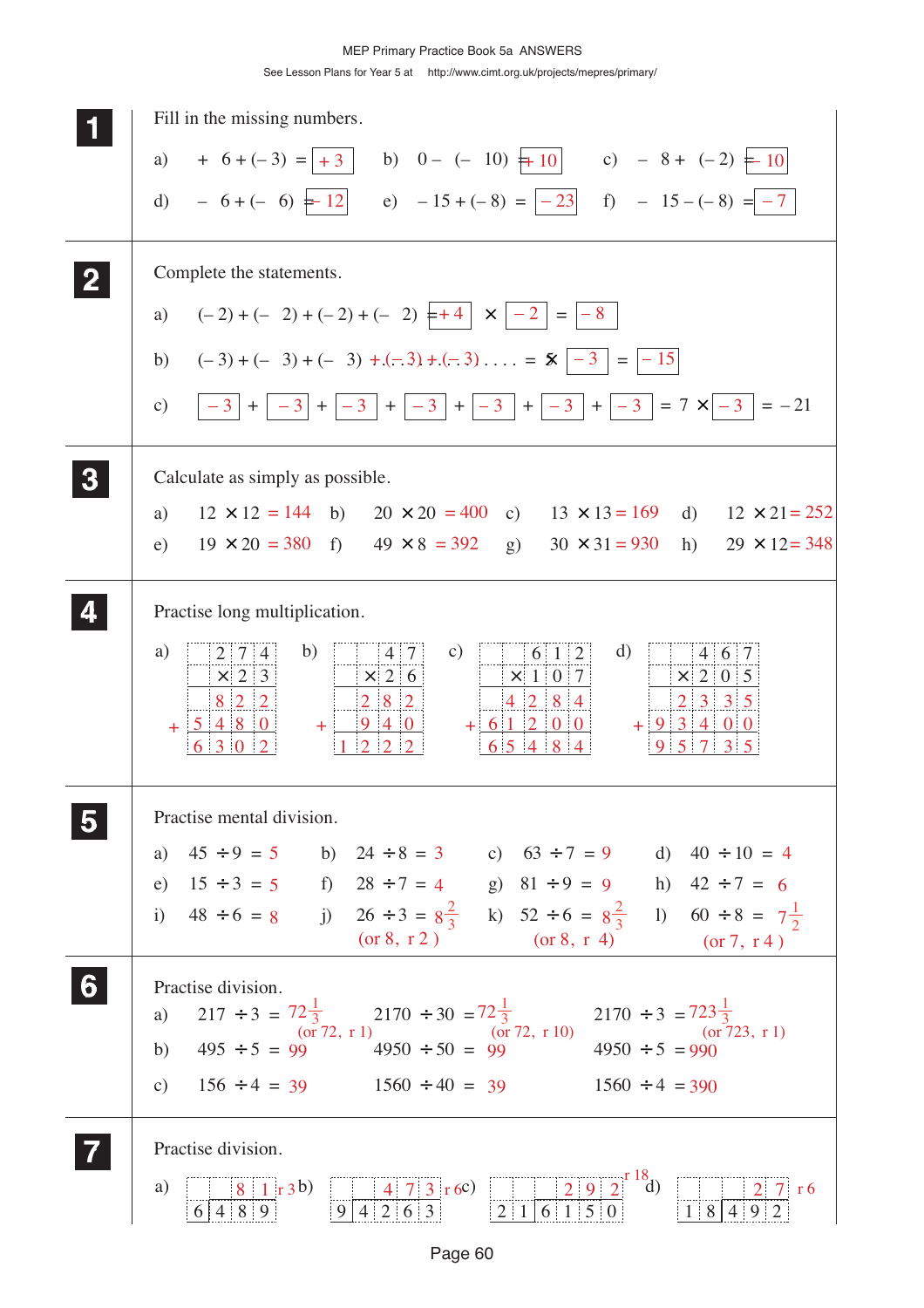| Fill in the missing numbers.                                                                                                                                                                                        |
|---------------------------------------------------------------------------------------------------------------------------------------------------------------------------------------------------------------------|
| a) $+ 6 + (-3) =   +3  $ b) $0 - (-10) + 10  $ c) $- 8 + (-2) + 10  $                                                                                                                                               |
| d) $-6+(-6) = 12$ e) $-15+(-8) = -23$ f) $-15-(-8) = -7$                                                                                                                                                            |
| Complete the statements.                                                                                                                                                                                            |
| $(-2) + (-2) + (-2) + (-2) + (-2) + (-2)$<br>a)                                                                                                                                                                     |
| $(-3) + (-3) + (-3) + (-3) + (-3) + (-3) + (-3) + (-3) = 5$<br>b)                                                                                                                                                   |
| $\vert -3 \vert + \vert -3 \vert + \vert -3 \vert + \vert -3 \vert + \vert -3 \vert + \vert -3 \vert + \vert -3 \vert + \vert -3 \vert = 7 \times \vert -3 \vert = -21$<br>$\mathbf{c})$                            |
| Calculate as simply as possible.                                                                                                                                                                                    |
| $12 \times 12 = 144$ b) $20 \times 20 = 400$ c) $13 \times 13 = 169$ d) $12 \times 21 = 252$<br>a)                                                                                                                  |
| $19 \times 20 = 380$<br>f) $49 \times 8 = 392$ g) $30 \times 31 = 930$<br>h)<br>e)<br>$29 \times 12 = 348$                                                                                                          |
| Practise long multiplication.                                                                                                                                                                                       |
| a)<br>b)<br>d)<br>$\mathbf{c})$<br>$2 \mid 7 \mid 4$<br>4 7 <br>6 1 2<br>$4 \t6 \t7$                                                                                                                                |
| $\vert x \vert 2 \vert 6 \vert$<br>$\vert \times \vert 1 \vert 0 \vert 7$<br>$\vert \times \vert 2 \vert 0 \vert 5$<br>$\times$ 2 3<br>8 2 2<br>$2 \quad 3 \quad 3 \quad 5$<br>$2 \mid 8 \mid 2$<br>$4 \ 2 \ 8 \ 4$ |
| $+93400$<br>$+ 5480$<br>940<br>$+ 61200$<br>$+1$<br>$5^{\circ}$                                                                                                                                                     |
| Practise mental division.                                                                                                                                                                                           |
| a) $45 \div 9 = 5$ b) $24 \div 8 = 3$ c) $63 \div 7 = 9$ d) $40 \div 10 = 4$                                                                                                                                        |
| e) $15 \div 3 = 5$ f) $28 \div 7 = 4$ g) $81 \div 9 = 9$ h) $42 \div 7 = 6$<br>i) $48 \div 6 = 8$ j) $26 \div 3 = 8\frac{2}{3}$ k) $52 \div 6 = 8\frac{2}{3}$ l) $60 \div 8 = 7\frac{1}{2}$                         |
| (or 8, r 2) $(\text{or } 8, \text{r } 4)$ $(\text{or } 7, \text{r } 4)$                                                                                                                                             |
| Practise division.                                                                                                                                                                                                  |
| a) $217 \div 3 = 72 \frac{1}{3}$ $2170 \div 30 = 72 \frac{1}{3}$ $2170 \div 3 = 723 \frac{1}{3}$<br>b) $495 \div 5 = 99$ $4950 \div 50 = 99$ $4950 \div 50 = 99$ $4950 \div 5 = 990$                                |
|                                                                                                                                                                                                                     |
| c) $156 \div 4 = 39$ $1560 \div 40 = 39$ $1560 \div 4 = 390$                                                                                                                                                        |
| Practise division.                                                                                                                                                                                                  |
| $\begin{array}{ c c c c c }\n\hline\n & 4 & 7 & 3 & \text{r } 6 \\ \hline\n9 & 4 & 2 & 6 & 3 & 2 & 1 & 6 & 1 & 5 & 0\n\end{array}$<br>$\frac{2}{18492}$ r 6<br>a)<br>$8 \mid 1 \mid r3b)$<br>6 4 8 9                |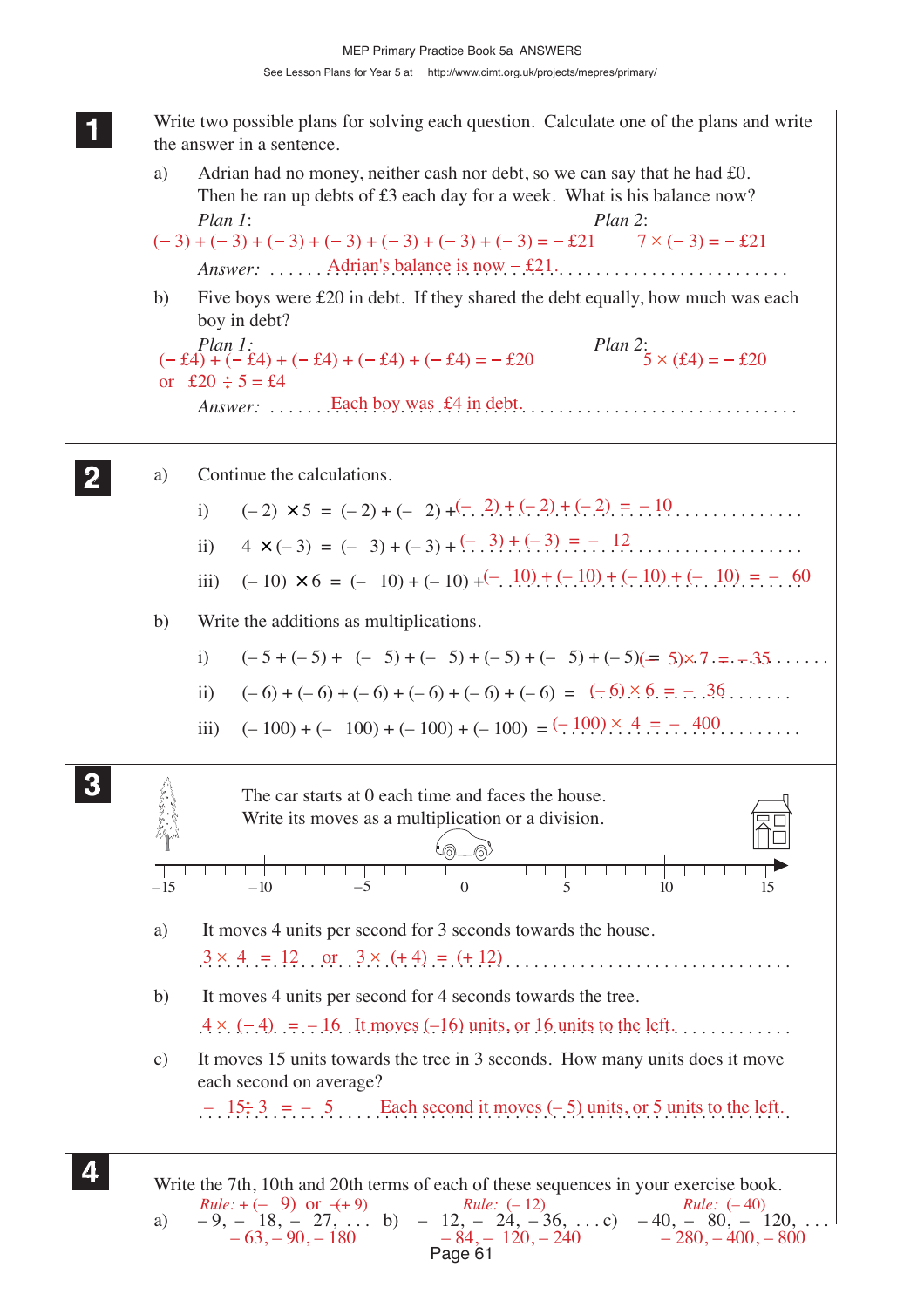**1 11** Write two possible plans for solving each question. Calculate one of the plans and write the answer in a sentence. a) Adrian had no money, neither cash nor debt, so we can say that he had £0. Then he ran up debts of £3 each day for a week. What is his balance now? *Plan 1*: *Plan 2*: *Answer*: ...... Adrian's balance is now  $-\text{\pounds}21$ ............................... b) Five boys were £20 in debt. If they shared the debt equally, how much was each boy in debt? *Plan 1*: *Plan 2*: *Plan 2*: *Answer:* . . . . . . . . . . . . . . . . . . . . . . . . . . . . . . . . . . . . . . . . . . . . . . . . . . . . . . . . . Each boy was £4 in debt. a) Continue the calculations. i) (– 2) × 5 = (– 2) + (– 2) + . . . . . . . . . . . . . . . . . . . . . . . . . . . . . . . . . . . . . (– 2) + (– 2) + (– 2) = – 10 ii) 4 × (– 3) = (– 3) + (– 3) + . . . . . . . . . . . . . . . . . . . . . . . . . . . . . . . . . . . . . (– 3) + (– 3) = – 12 iii) (– 10) × 6 = (– 10) + (– 10) + . . . . . . . . . . . . . . . . . . . . . . . . . . . . . . . . . (– 10) + (– 10) + (– 10) + (– 10) = – 60 b) Write the additions as multiplications. i)  $(-5 + (-5) + (-5) + (-5) + (-5) + (-5) + (-5) + (-5)) = 5 \times 7. = -35.$ ii)  $(-6) + (-6) + (-6) + (-6) + (-6) + (-6) = (-6) \times 6 = -36$ iii)  $(-100) + (-100) + (-100) + (-100) = (-100) \times 4 = -0.400$ The car starts at 0 each time and faces the house. Write its moves as a multiplication or a division. a) It moves 4 units per second for 3 seconds towards the house. . . . . . . . . . . . . . . . . . . . . . . . . . . . . . . . . . . . . . . . . . . . . . . . . . . . . . . . . . . . . . . . . 3 4 = 12 or 3 (+ 4) = (+ 12) b) It moves 4 units per second for 4 seconds towards the tree.  $.4 \times . (-.4)$ .  $= -1.6$ . It moves  $(-16)$  units, or 16 units to the left. c) It moves 15 units towards the tree in 3 seconds. How many units does it move each second on average? . . . . . . . . . . . . . . . . . . . . . . . . . . . . . . . . . . . . . . . . . . . . . . . . . . . . . . . . . . . . . . . . – 15 3 = – 5 Each second it moves (– 5) units, or 5 units to the left. Write the 7th, 10th and 20th terms of each of these sequences in your exercise book.<br>  $Rule: +(-9)$  or  $(+9)$ <br>
a)  $-9, -18, -27, ...$  b)  $-12, -24, -36, ...$  c)  $-40, -80, -120$ <br>  $-63, -90, -180$ <br>  $-84, -120, -240$ <br>  $-280, -400, -80$ a)  $-9, -18, -27, \ldots$  b)  $-12, -24, -36, \ldots$  c)  $-40, -80, -120, \ldots$ **2 22 22 3 33 33**  $-15$   $-10$   $-5$  0 5 10 15 **4 44 44**  $(-3) + (-3) + (-3) + (-3) + (-3) + (-3) + (-3) + (-3) = -221$   $7 \times (-3) = -221$  $(-\pounds4) + (-\pounds4) + (-\pounds4) + (-\pounds4) + (-\pounds4) = -\pounds20$  5 x ( $\pounds4$ ) = -  $\pounds20$ or £20  $\div$  5 = £4  $-63, -90, -180$   $-84, -120, -240$   $-280, -400, -800$  $Rule: + (-9)$  or  $(+9)$  *Rule:*  $(-12)$  *Rule:*  $(-40)$ 

Page 61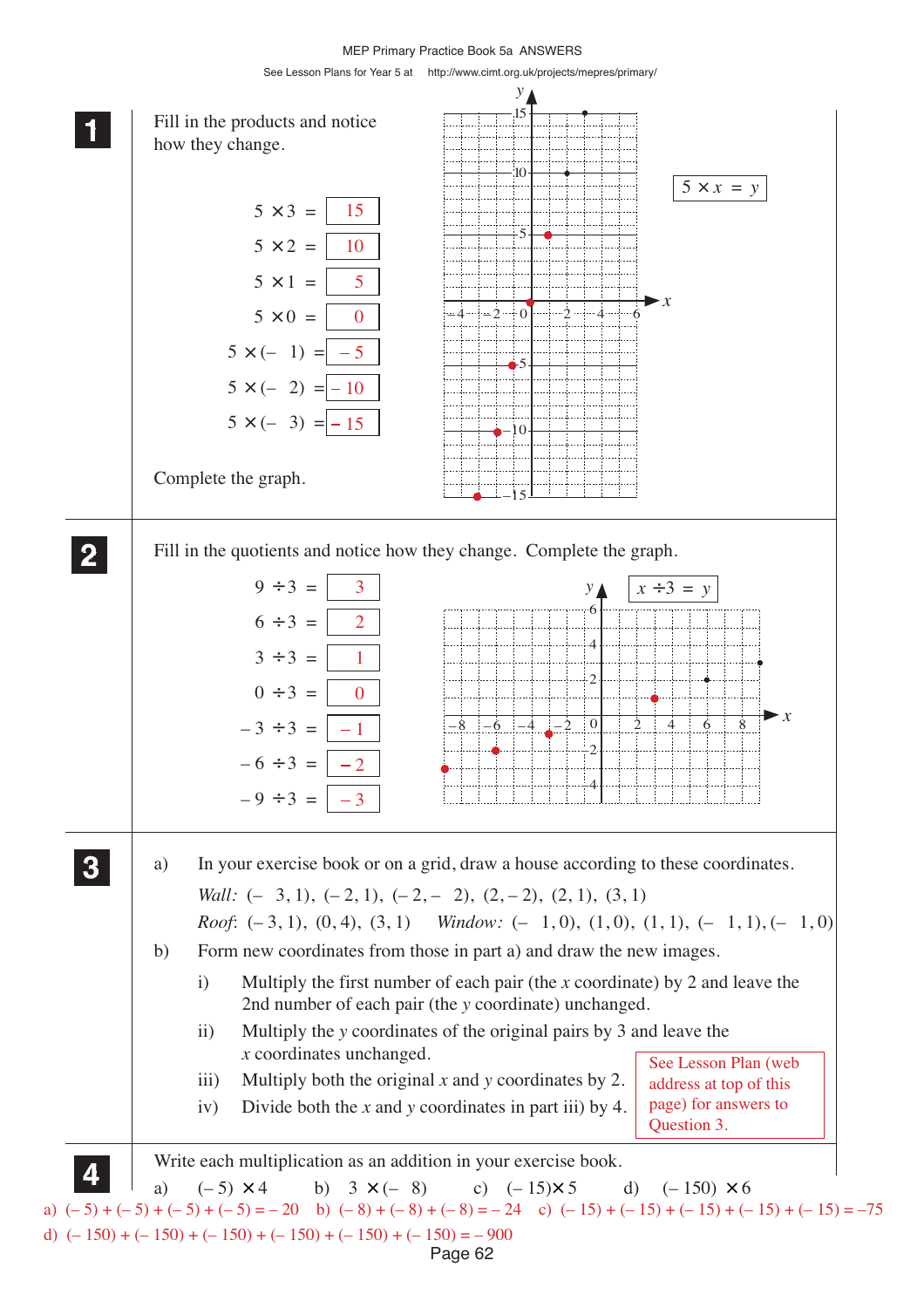MEP Primary Practice Book 5a ANSWERS

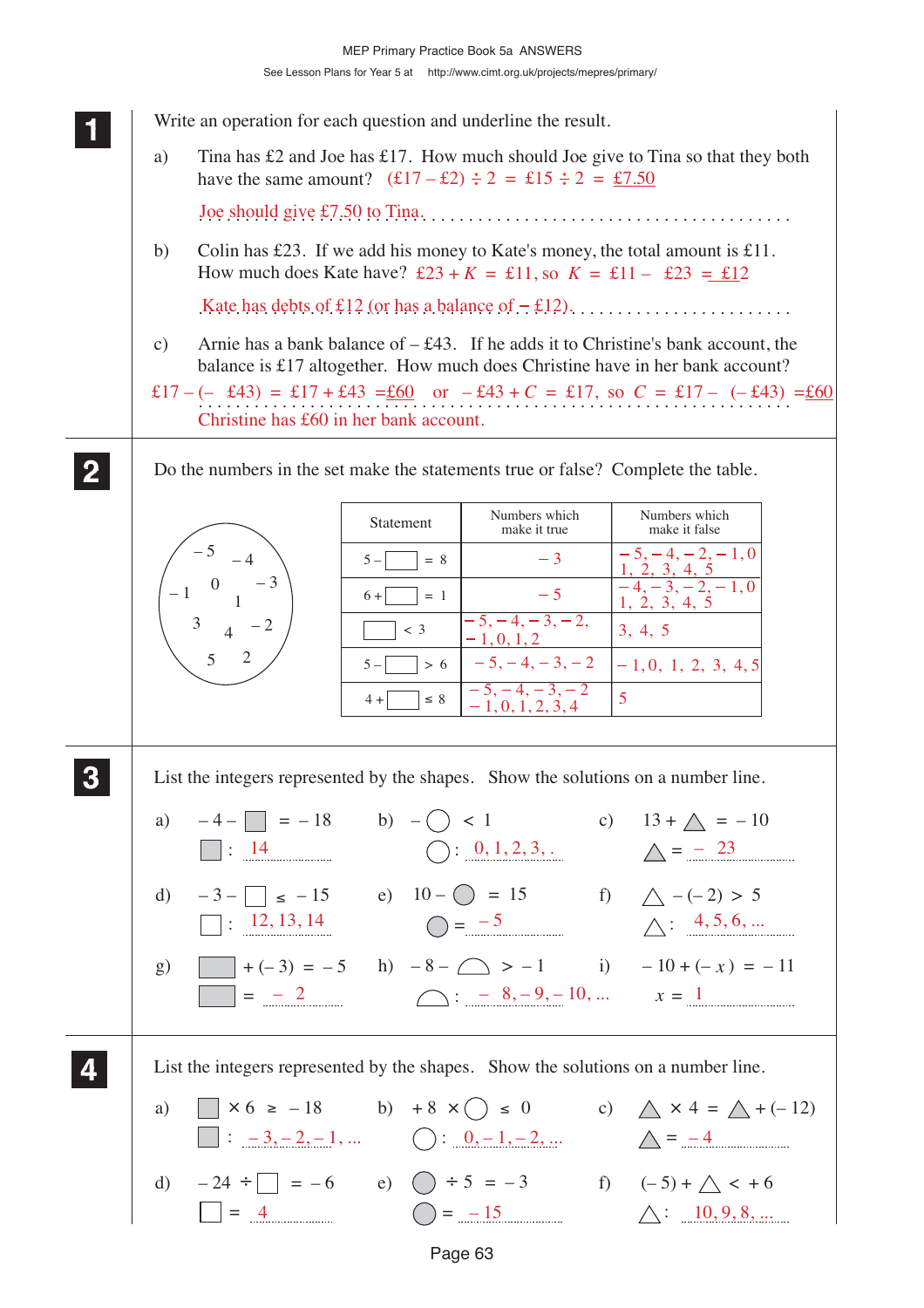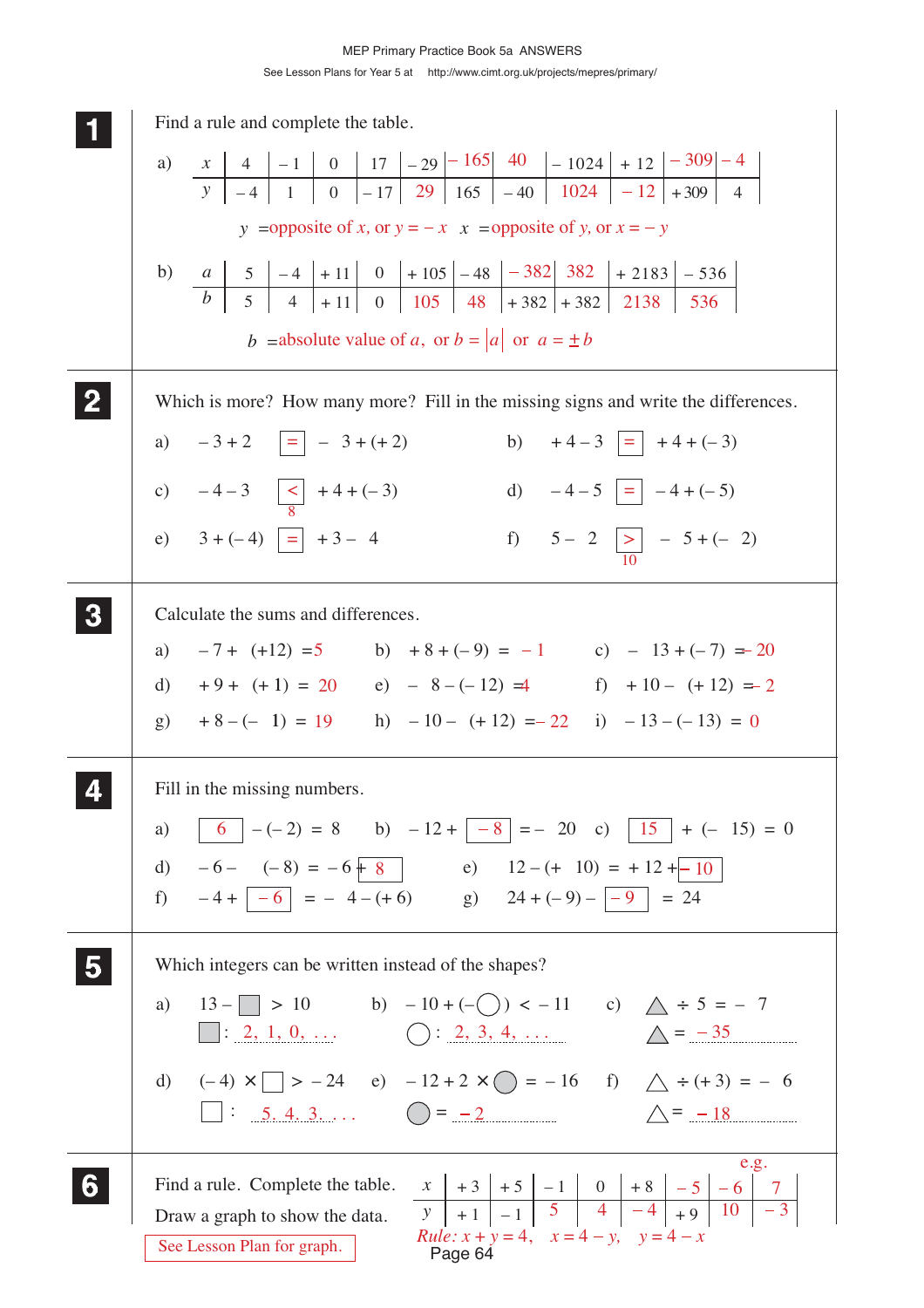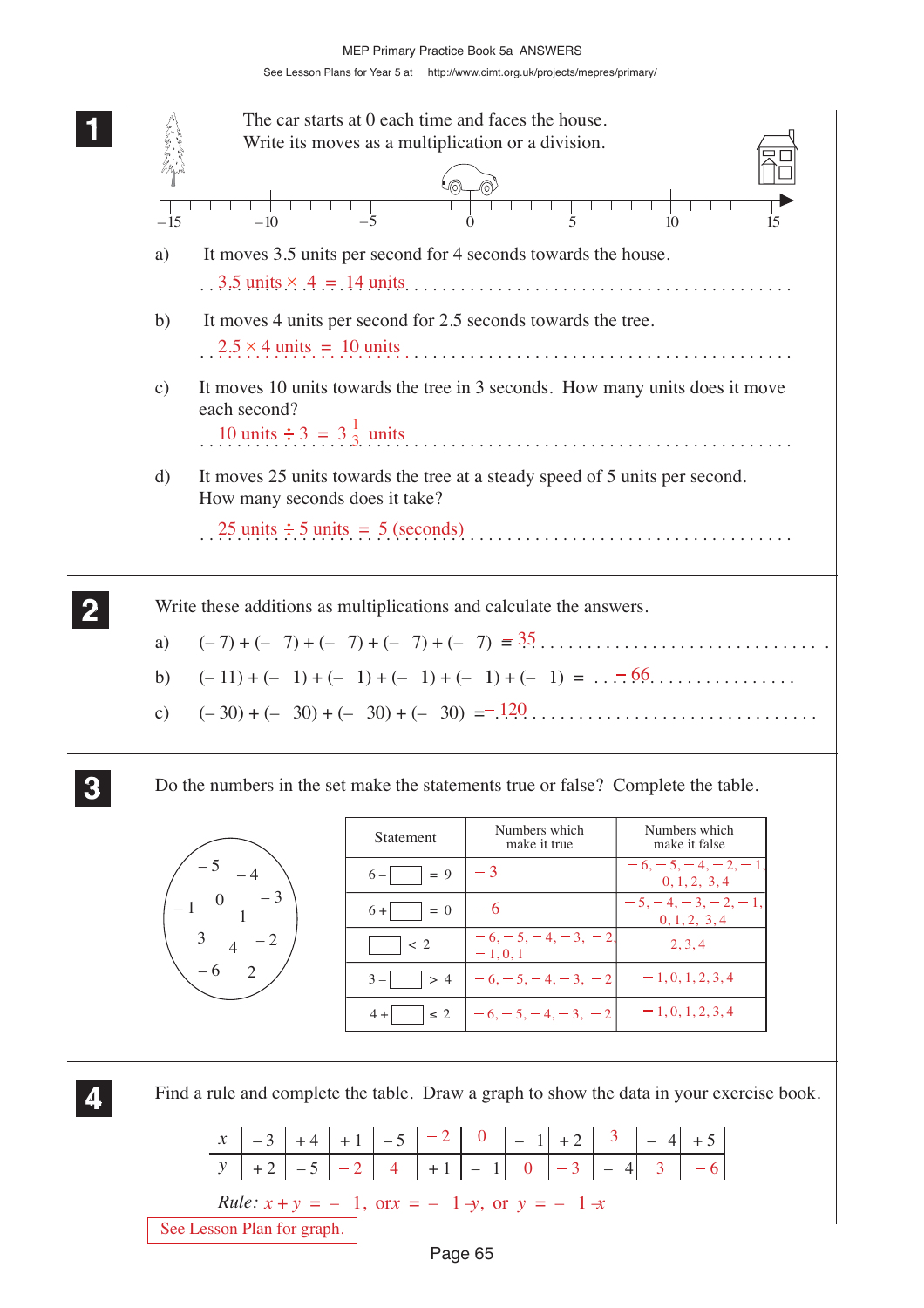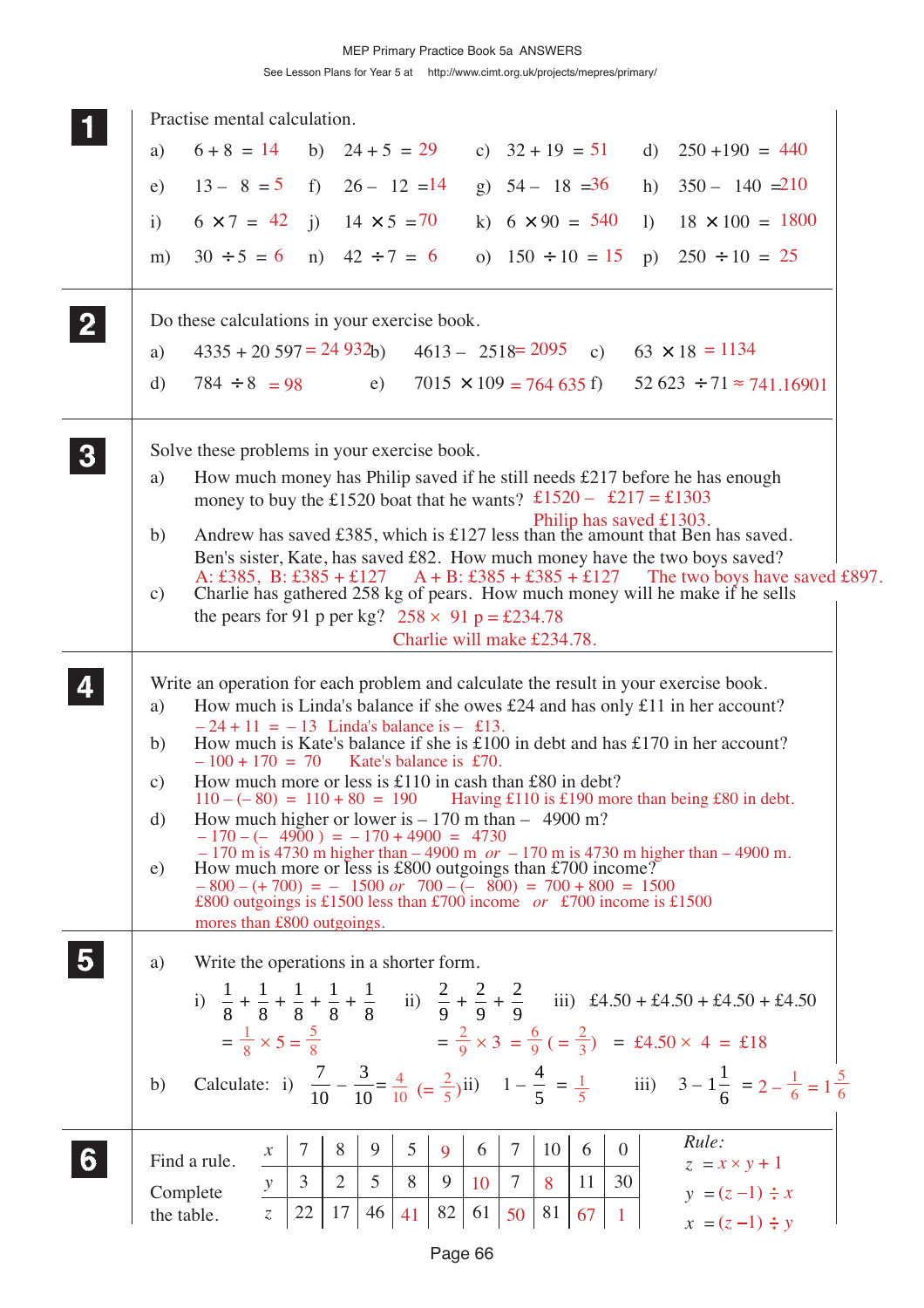|                         | Practise mental calculation.                                                                                                                                                 |
|-------------------------|------------------------------------------------------------------------------------------------------------------------------------------------------------------------------|
|                         | $6+8 = 14$<br>b) $24 + 5 = 29$<br>c) $32 + 19 = 51$<br>d) $250 + 190 = 440$<br>a)                                                                                            |
|                         | $13 - 8 = 5$ f) $26 - 12 = 14$<br>g) $54 - 18 = 36$<br>h) $350 - 140 = 210$<br>e)                                                                                            |
|                         | i) $14 \times 5 = 70$<br>k) $6 \times 90 = 540$<br>$6 \times 7 = 42$<br>$18 \times 100 = 1800$<br>$\mathbf{i}$<br>1)                                                         |
|                         | $30 \div 5 = 6$<br>n) $42 \div 7 = 6$<br>o) $150 \div 10 = 15$<br>p) $250 \div 10 = 25$<br>m)                                                                                |
| $\mathbf{2}$            | Do these calculations in your exercise book.                                                                                                                                 |
|                         | $4335 + 20597 = 24932$ b) $4613 - 2518 = 2095$ c) $63 \times 18 = 1134$<br>a)                                                                                                |
|                         | $7015 \times 109 = 764635$ f) $52623 \div 71 \approx 741.16901$<br>$784 \div 8 = 98$<br>d)<br>e)                                                                             |
| $\boldsymbol{3}$        | Solve these problems in your exercise book.                                                                                                                                  |
|                         | How much money has Philip saved if he still needs $£217$ before he has enough<br>a)<br>money to buy the £1520 boat that he wants? £1520 - £217 = £1303                       |
|                         | Philip has saved £1303.<br>Andrew has saved £385, which is £127 less than the amount that Ben has saved.<br>b)                                                               |
|                         | Ben's sister, Kate, has saved £82. How much money have the two boys saved?<br>A: £385, B: £385 + £127 A + B: £385 + £385 + £127<br>The two boys have saved £897.             |
|                         | Charlie has gathered 258 kg of pears. How much money will he make if he sells<br>$\mathbf{c})$<br>the pears for 91 p per kg? $258 \times 91$ p = £234.78                     |
|                         | Charlie will make £234.78.                                                                                                                                                   |
|                         | Write an operation for each problem and calculate the result in your exercise book.                                                                                          |
|                         | How much is Linda's balance if she owes £24 and has only £11 in her account?<br>a)                                                                                           |
|                         | $-24 + 11 = -13$ Linda's balance is $-$ £13.<br>How much is Kate's balance if she is £100 in debt and has £170 in her account?<br>b)                                         |
|                         | $-100 + 170 = 70$ Kate's balance is £70.<br>How much more or less is £110 in cash than £80 in debt?<br>$\mathbf{c})$                                                         |
|                         | $110 - (-80) = 110 + 80 = 190$ Having £110 is £190 more than being £80 in debt.<br>How much higher or lower is $-170$ m than $-4900$ m?<br>d)                                |
|                         | $-170 - (-4900) = -170 + 4900 = 4730$<br>$-170$ m is 4730 m higher than $-4900$ m $or -170$ m is 4730 m higher than $-4900$ m.                                               |
|                         | How much more or less is £800 outgoings than £700 income?<br>e)<br>$-800 - (+700) = -1500$ or $700 - (-800) = 700 + 800 = 1500$                                              |
|                         | £800 outgoings is £1500 less than £700 income or £700 income is £1500<br>mores than £800 outgoings.                                                                          |
| $\overline{\mathbf{5}}$ |                                                                                                                                                                              |
|                         | Write the operations in a shorter form.<br>a)                                                                                                                                |
|                         | i) $\frac{1}{8} + \frac{1}{8} + \frac{1}{8} + \frac{1}{8} + \frac{1}{8}$ ii) $\frac{2}{9} + \frac{2}{9} + \frac{2}{9}$ iii) £4.50 + £4.50 + £4.50 + £4.50                    |
|                         | $=\frac{1}{8} \times 5 = \frac{5}{8}$ $=\frac{2}{9} \times 3 = \frac{6}{9} \left(=\frac{2}{3}\right) = \text{\textsterling}4.50 \times 4 = \text{\textsterling}18$           |
|                         | Calculate: i) $\frac{7}{10} - \frac{3}{10} = \frac{4}{10} = \frac{2}{5}$ (ii) $1 - \frac{4}{5} = \frac{1}{5}$ iii) $3 - 1\frac{1}{5} = 2 - \frac{1}{6} = 1\frac{5}{6}$<br>b) |
|                         |                                                                                                                                                                              |
|                         | Rule:<br>7<br>8<br>9<br>5<br>$\tau$<br>10<br>6<br>$\overline{0}$<br>6<br>9<br>$\mathcal{X}$                                                                                  |
| 6                       | Find a rule.<br>$z = x \times y + 1$<br>$\mathfrak{Z}$<br>$\overline{2}$<br>5<br>8<br>$\tau$<br>11<br>30<br>9<br>8<br>10<br>$\mathcal{Y}$<br>$y = (z-1) \div x$<br>Complete  |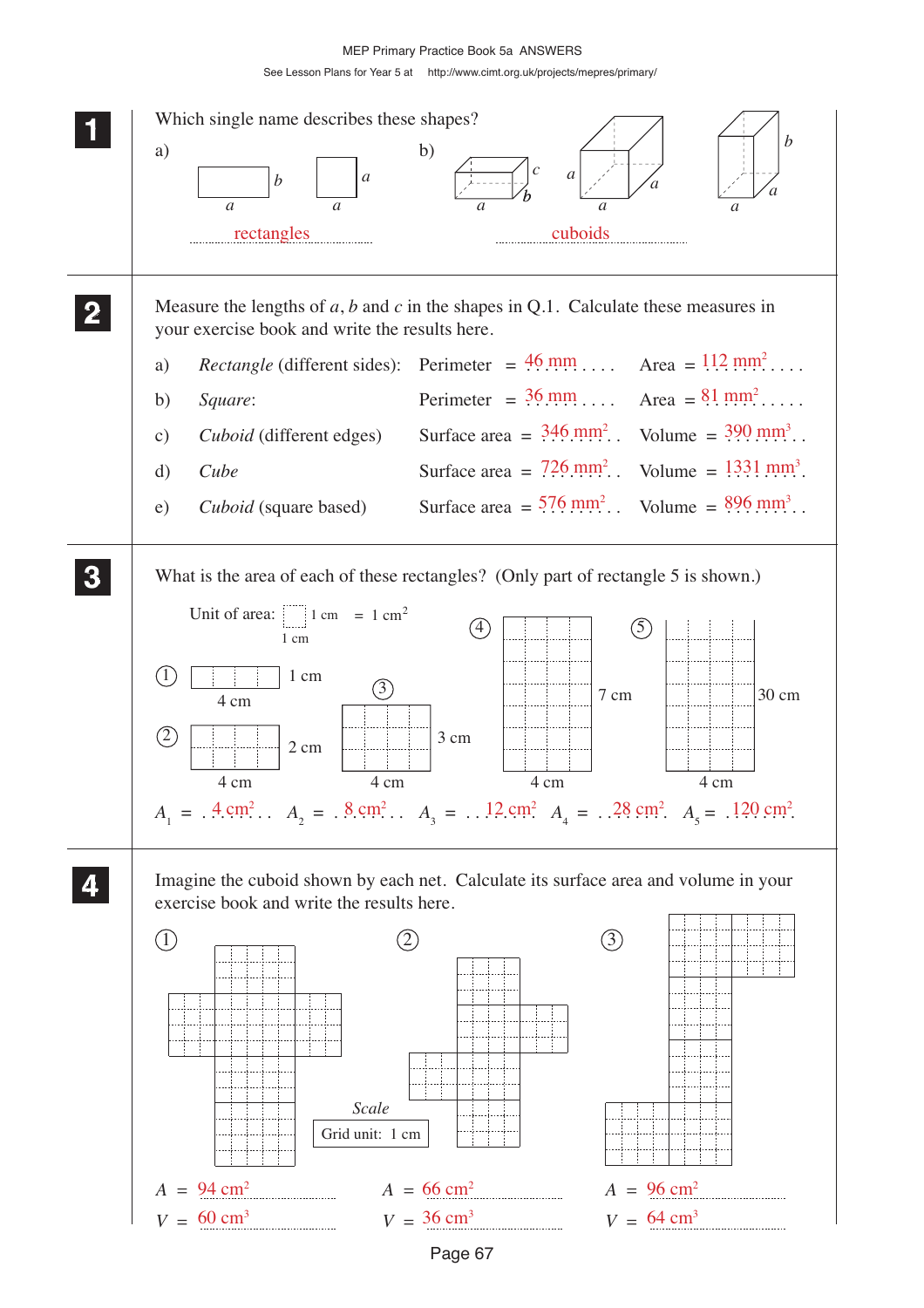See Lesson Plans for Year 5 at http://www.cimt.org.uk/projects/mepres/primary/



Page 67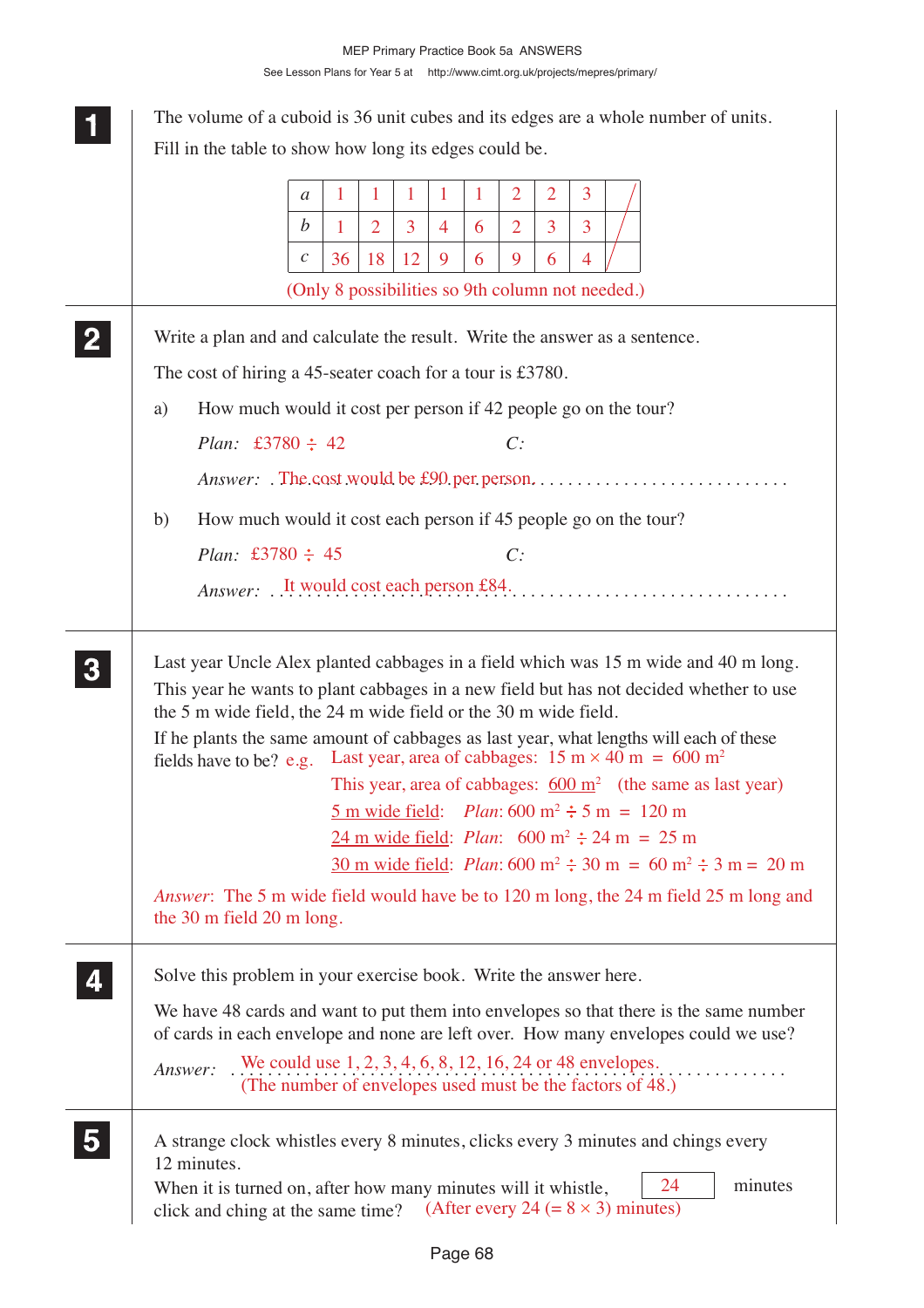|    |                                                                            | a                | 1  | 1              | 1  | 1              |   | $\overline{2}$ | $\overline{2}$ | 3 |                                                                                                                                                                                                                                                                                                                                                                                                                                                                                                                                                            |
|----|----------------------------------------------------------------------------|------------------|----|----------------|----|----------------|---|----------------|----------------|---|------------------------------------------------------------------------------------------------------------------------------------------------------------------------------------------------------------------------------------------------------------------------------------------------------------------------------------------------------------------------------------------------------------------------------------------------------------------------------------------------------------------------------------------------------------|
|    |                                                                            | b                | 1  | $\overline{2}$ | 3  | $\overline{4}$ | 6 | $\overline{2}$ | 3              | 3 |                                                                                                                                                                                                                                                                                                                                                                                                                                                                                                                                                            |
|    |                                                                            | $\boldsymbol{c}$ | 36 | 18             | 12 | 9              | 6 | 9              | 6              | 4 |                                                                                                                                                                                                                                                                                                                                                                                                                                                                                                                                                            |
|    |                                                                            |                  |    |                |    |                |   |                |                |   | (Only 8 possibilities so 9th column not needed.)                                                                                                                                                                                                                                                                                                                                                                                                                                                                                                           |
|    | Write a plan and and calculate the result. Write the answer as a sentence. |                  |    |                |    |                |   |                |                |   |                                                                                                                                                                                                                                                                                                                                                                                                                                                                                                                                                            |
|    | The cost of hiring a 45-seater coach for a tour is £3780.                  |                  |    |                |    |                |   |                |                |   |                                                                                                                                                                                                                                                                                                                                                                                                                                                                                                                                                            |
| a) | How much would it cost per person if 42 people go on the tour?             |                  |    |                |    |                |   |                |                |   |                                                                                                                                                                                                                                                                                                                                                                                                                                                                                                                                                            |
|    | <i>Plan:</i> £3780 $\div$ 42                                               |                  |    |                |    |                |   | C:             |                |   |                                                                                                                                                                                                                                                                                                                                                                                                                                                                                                                                                            |
|    |                                                                            |                  |    |                |    |                |   |                |                |   |                                                                                                                                                                                                                                                                                                                                                                                                                                                                                                                                                            |
| b) | How much would it cost each person if 45 people go on the tour?            |                  |    |                |    |                |   |                |                |   |                                                                                                                                                                                                                                                                                                                                                                                                                                                                                                                                                            |
|    | <i>Plan:</i> £3780 $\div$ 45                                               |                  |    |                |    |                |   | C:             |                |   |                                                                                                                                                                                                                                                                                                                                                                                                                                                                                                                                                            |
|    |                                                                            |                  |    |                |    |                |   |                |                |   |                                                                                                                                                                                                                                                                                                                                                                                                                                                                                                                                                            |
|    |                                                                            |                  |    |                |    |                |   |                |                |   | If he plants the same amount of cabbages as last year, what lengths will each of these<br>fields have to be? e.g. Last year, area of cabbages: $15 \text{ m} \times 40 \text{ m} = 600 \text{ m}^2$<br>This year, area of cabbages: $600 \text{ m}^2$ (the same as last year)<br>5 m wide field: <i>Plan</i> : 600 m <sup>2</sup> $\div$ 5 m = 120 m<br>24 m wide field: <i>Plan</i> : $600 \text{ m}^2 \div 24 \text{ m} = 25 \text{ m}$<br>$30 \text{ m}$ wide field: <i>Plan</i> : 600 m <sup>2</sup> $\div$ 30 m = 60 m <sup>2</sup> $\div$ 3 m = 20 m |
|    |                                                                            |                  |    |                |    |                |   |                |                |   | <i>Answer</i> : The 5 m wide field would have be to 120 m long, the 24 m field 25 m long and                                                                                                                                                                                                                                                                                                                                                                                                                                                               |
|    | the 30 m field 20 m long.                                                  |                  |    |                |    |                |   |                |                |   |                                                                                                                                                                                                                                                                                                                                                                                                                                                                                                                                                            |
|    | Solve this problem in your exercise book. Write the answer here.           |                  |    |                |    |                |   |                |                |   |                                                                                                                                                                                                                                                                                                                                                                                                                                                                                                                                                            |
|    |                                                                            |                  |    |                |    |                |   |                |                |   | We have 48 cards and want to put them into envelopes so that there is the same number<br>of cards in each envelope and none are left over. How many envelopes could we use?                                                                                                                                                                                                                                                                                                                                                                                |
|    | Answer:                                                                    |                  |    |                |    |                |   |                |                |   | We could use $1, 2, 3, 4, 6, 8, 12, 16, 24$ or 48 envelopes.<br>(The number of envelopes used must be the factors of 48.)                                                                                                                                                                                                                                                                                                                                                                                                                                  |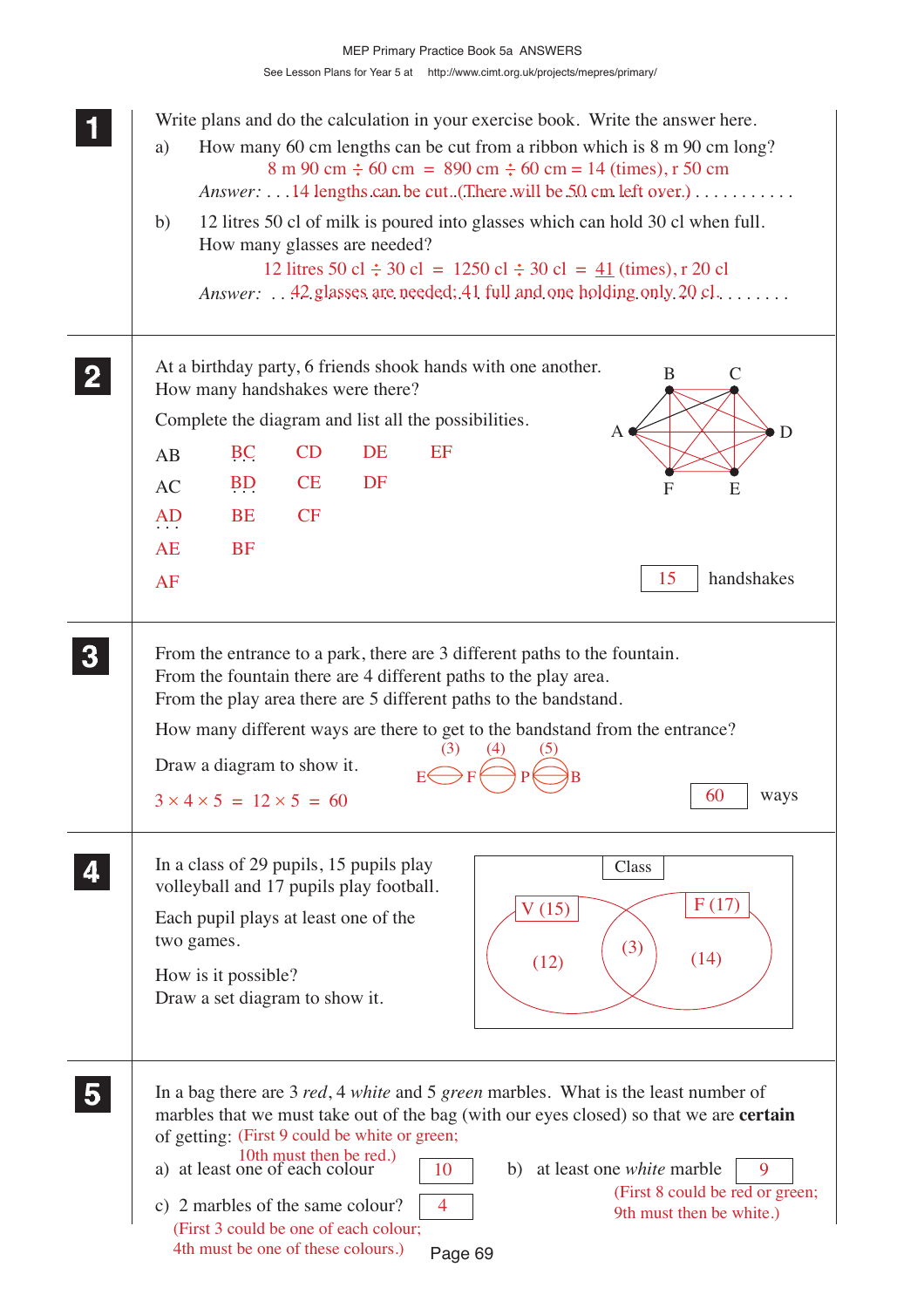See Lesson Plans for Year 5 at http://www.cimt.org.uk/projects/mepres/primary/ MEP Primary Practice Book 5a ANSWERS

|                         | Write plans and do the calculation in your exercise book. Write the answer here.<br>How many 60 cm lengths can be cut from a ribbon which is 8 m 90 cm long?<br>a)<br>$8 \text{ m } 90 \text{ cm } \div 60 \text{ cm } = 890 \text{ cm } \div 60 \text{ cm } = 14 \text{ (times)}, r 50 \text{ cm}$<br>Answer:  14 lengths can be cut. (There will be 50 cm left over.)<br>12 litres 50 cl of milk is poured into glasses which can hold 30 cl when full.<br>b)                                                                                                                             |
|-------------------------|---------------------------------------------------------------------------------------------------------------------------------------------------------------------------------------------------------------------------------------------------------------------------------------------------------------------------------------------------------------------------------------------------------------------------------------------------------------------------------------------------------------------------------------------------------------------------------------------|
|                         | How many glasses are needed?<br>12 litres 50 cl $\div$ 30 cl = 1250 cl $\div$ 30 cl = 41 (times), r 20 cl<br><i>Answer:</i> 42 glasses are needed; 41 full and one holding only 20 cl.                                                                                                                                                                                                                                                                                                                                                                                                      |
| $\mathbf{2}$            | At a birthday party, 6 friends shook hands with one another.<br>B<br>$\mathsf{C}$<br>How many handshakes were there?                                                                                                                                                                                                                                                                                                                                                                                                                                                                        |
|                         | Complete the diagram and list all the possibilities.<br>D                                                                                                                                                                                                                                                                                                                                                                                                                                                                                                                                   |
|                         | CD<br>DE<br>EF<br>BC<br>AB                                                                                                                                                                                                                                                                                                                                                                                                                                                                                                                                                                  |
|                         | <b>CE</b><br>DF<br>B <sub>D</sub><br>AC<br>$\mathbf{F}$<br>E                                                                                                                                                                                                                                                                                                                                                                                                                                                                                                                                |
|                         | CF<br><b>BE</b><br>AD                                                                                                                                                                                                                                                                                                                                                                                                                                                                                                                                                                       |
|                         | <b>AE</b><br><b>BF</b>                                                                                                                                                                                                                                                                                                                                                                                                                                                                                                                                                                      |
|                         | 15<br>handshakes<br>AF                                                                                                                                                                                                                                                                                                                                                                                                                                                                                                                                                                      |
| $\boldsymbol{3}$        | From the entrance to a park, there are 3 different paths to the fountain.<br>From the fountain there are 4 different paths to the play area.<br>From the play area there are 5 different paths to the bandstand.<br>How many different ways are there to get to the bandstand from the entrance?<br>Draw a diagram to show it.<br>60<br>$3 \times 4 \times 5 = 12 \times 5 = 60$<br>ways                                                                                                                                                                                                    |
|                         | In a class of 29 pupils, 15 pupils play<br>Class<br>volleyball and 17 pupils play football.<br>F(17)<br>V(15)<br>Each pupil plays at least one of the<br>two games.<br>(3)<br>(14)<br>(12)<br>How is it possible?<br>Draw a set diagram to show it.                                                                                                                                                                                                                                                                                                                                         |
| $\overline{\mathbf{5}}$ | In a bag there are 3 <i>red</i> , 4 <i>white</i> and 5 <i>green</i> marbles. What is the least number of<br>marbles that we must take out of the bag (with our eyes closed) so that we are <b>certain</b><br>of getting: (First 9 could be white or green;<br>10th must then be red.)<br>a) at least one of each colour<br>at least one <i>white</i> marble<br>9<br>10<br>b)<br>(First 8 could be red or green;<br>c) 2 marbles of the same colour?<br>$\overline{4}$<br>9th must then be white.)<br>(First 3 could be one of each colour;<br>4th must be one of these colours.)<br>Page 69 |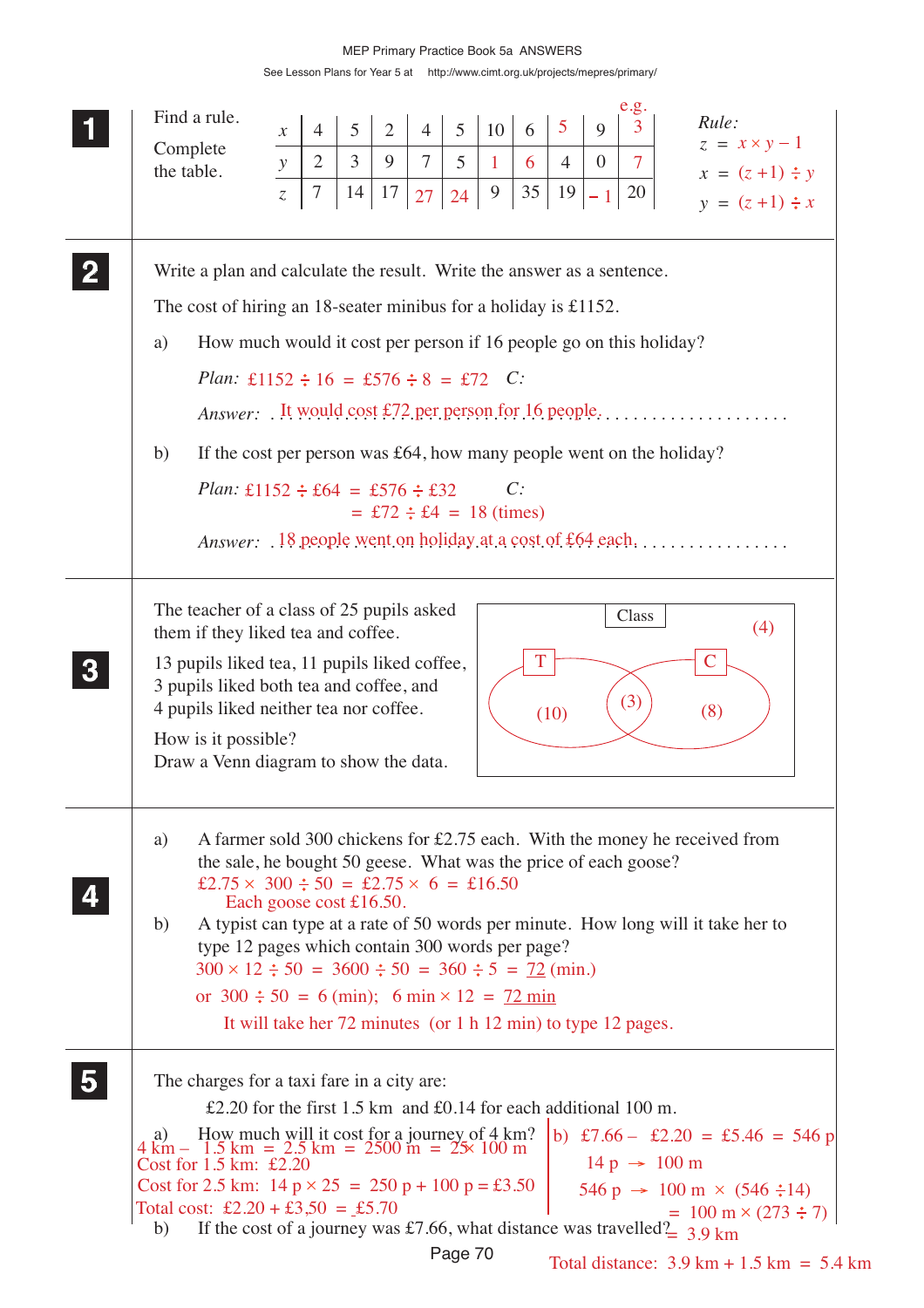|             | Find a rule.                                                                                                                                              | $\mathcal{X}$  | $\overline{4}$ | 5              | $\overline{2}$ | $\overline{4}$ | 5       | 10                             | 6  | 5              | $\mathbf Q$    | e.g.<br>3      | Rule:                                                                                                                         |
|-------------|-----------------------------------------------------------------------------------------------------------------------------------------------------------|----------------|----------------|----------------|----------------|----------------|---------|--------------------------------|----|----------------|----------------|----------------|-------------------------------------------------------------------------------------------------------------------------------|
|             | Complete                                                                                                                                                  | $\mathcal Y$   | $\overline{2}$ | $\mathfrak{Z}$ | 9              | $\overline{7}$ | 5       | 1                              | 6  | $\overline{4}$ | $\overline{0}$ | $\overline{7}$ | $z = x \times y - 1$                                                                                                          |
|             | the table.                                                                                                                                                | $\overline{z}$ | $\tau$         | 14             | 17             | 27             | 24      | 9                              | 35 | 19             |                | 20             | $x = (z+1) \div y$                                                                                                            |
|             |                                                                                                                                                           |                |                |                |                |                |         |                                |    |                |                |                | $y = (z+1) \div x$                                                                                                            |
| $\mathbf 2$ | Write a plan and calculate the result. Write the answer as a sentence.                                                                                    |                |                |                |                |                |         |                                |    |                |                |                |                                                                                                                               |
|             | The cost of hiring an 18-seater minibus for a holiday is $£1152$ .                                                                                        |                |                |                |                |                |         |                                |    |                |                |                |                                                                                                                               |
|             | How much would it cost per person if 16 people go on this holiday?<br>a)                                                                                  |                |                |                |                |                |         |                                |    |                |                |                |                                                                                                                               |
|             | Plan: £1152 $\div 16 = 576 \div 8 = 72$ C:                                                                                                                |                |                |                |                |                |         |                                |    |                |                |                |                                                                                                                               |
|             |                                                                                                                                                           |                |                |                |                |                |         |                                |    |                |                |                |                                                                                                                               |
|             | If the cost per person was $£64$ , how many people went on the holiday?<br>b)                                                                             |                |                |                |                |                |         |                                |    |                |                |                |                                                                                                                               |
|             | <i>Plan:</i> £1152 $\div$ £64 = £576 $\div$ £32                                                                                                           |                |                |                |                |                |         |                                | C: |                |                |                |                                                                                                                               |
|             |                                                                                                                                                           |                |                |                |                |                |         | $=$ £72 $\div$ £4 = 18 (times) |    |                |                |                |                                                                                                                               |
|             |                                                                                                                                                           |                |                |                |                |                |         |                                |    |                |                |                | <i>Answer</i> : 18 people went on holiday at a cost of £64 each,                                                              |
|             |                                                                                                                                                           |                |                |                |                |                |         |                                |    |                |                |                |                                                                                                                               |
|             | The teacher of a class of 25 pupils asked<br>them if they liked tea and coffee.                                                                           |                |                |                |                |                |         |                                |    |                |                | Class          | (4)                                                                                                                           |
|             | 13 pupils liked tea, 11 pupils liked coffee,                                                                                                              |                |                |                |                |                |         |                                | T  |                |                |                | $\mathbf C$                                                                                                                   |
|             | 3 pupils liked both tea and coffee, and<br>4 pupils liked neither tea nor coffee.                                                                         |                |                |                |                |                |         |                                |    | (10)           |                | (3)            | (8)                                                                                                                           |
|             | How is it possible?                                                                                                                                       |                |                |                |                |                |         |                                |    |                |                |                |                                                                                                                               |
|             | Draw a Venn diagram to show the data.                                                                                                                     |                |                |                |                |                |         |                                |    |                |                |                |                                                                                                                               |
|             | a)                                                                                                                                                        |                |                |                |                |                |         |                                |    |                |                |                | A farmer sold 300 chickens for £2.75 each. With the money he received from                                                    |
|             | the sale, he bought 50 geese. What was the price of each goose?<br>£2.75 $\times$ 300 $\div$ 50 = £2.75 $\times$ 6 = £16.50                               |                |                |                |                |                |         |                                |    |                |                |                |                                                                                                                               |
|             | Each goose cost $£16.50$ .                                                                                                                                |                |                |                |                |                |         |                                |    |                |                |                |                                                                                                                               |
|             | b)<br>type 12 pages which contain 300 words per page?                                                                                                     |                |                |                |                |                |         |                                |    |                |                |                | A typist can type at a rate of 50 words per minute. How long will it take her to                                              |
|             | $300 \times 12 \div 50 = 3600 \div 50 = 360 \div 5 = 72 \text{ (min.)}$                                                                                   |                |                |                |                |                |         |                                |    |                |                |                |                                                                                                                               |
|             | or $300 \div 50 = 6$ (min); $6 \text{ min} \times 12 = 72 \text{ min}$                                                                                    |                |                |                |                |                |         |                                |    |                |                |                |                                                                                                                               |
|             | It will take her 72 minutes (or 1 h 12 min) to type 12 pages.                                                                                             |                |                |                |                |                |         |                                |    |                |                |                |                                                                                                                               |
|             | The charges for a taxi fare in a city are:                                                                                                                |                |                |                |                |                |         |                                |    |                |                |                |                                                                                                                               |
|             | £2.20 for the first 1.5 km and $\text{\pounds}0.14$ for each additional 100 m.                                                                            |                |                |                |                |                |         |                                |    |                |                |                |                                                                                                                               |
|             | a) How much will it cost for a journey of $4 \text{ km}$ ?<br>$4 \text{ km} - 1.5 \text{ km} = 2.5 \text{ km} = 2500 \text{ m} = 25 \times 100 \text{ m}$ |                |                |                |                |                |         |                                |    |                |                |                | b) £7.66 - £2.20 = £5.46 = 546 p                                                                                              |
|             | Cost for 1.5 km: £2.20                                                                                                                                    |                |                |                |                |                |         |                                |    |                |                |                | $14 p \rightarrow 100 m$                                                                                                      |
|             | Cost for 2.5 km: $14 p \times 25 = 250 p + 100 p = \text{\textsterling}3.50$<br>Total cost: £2.20 + £3,50 = £5.70                                         |                |                |                |                |                |         |                                |    |                |                |                | 546 p $\rightarrow$ 100 m $\times$ (546 ÷14)                                                                                  |
|             | b)                                                                                                                                                        |                |                |                |                |                |         |                                |    |                |                |                | $= 100 \text{ m} \times (273 \div 7)$<br>If the cost of a journey was £7.66, what distance was travelled $\frac{2}{3}$ 3.9 km |
|             |                                                                                                                                                           |                |                |                |                |                | Page 70 |                                |    |                |                |                | Total distance: $3.9 \text{ km} + 1.5 \text{ km} = 5.4 \text{ km}$                                                            |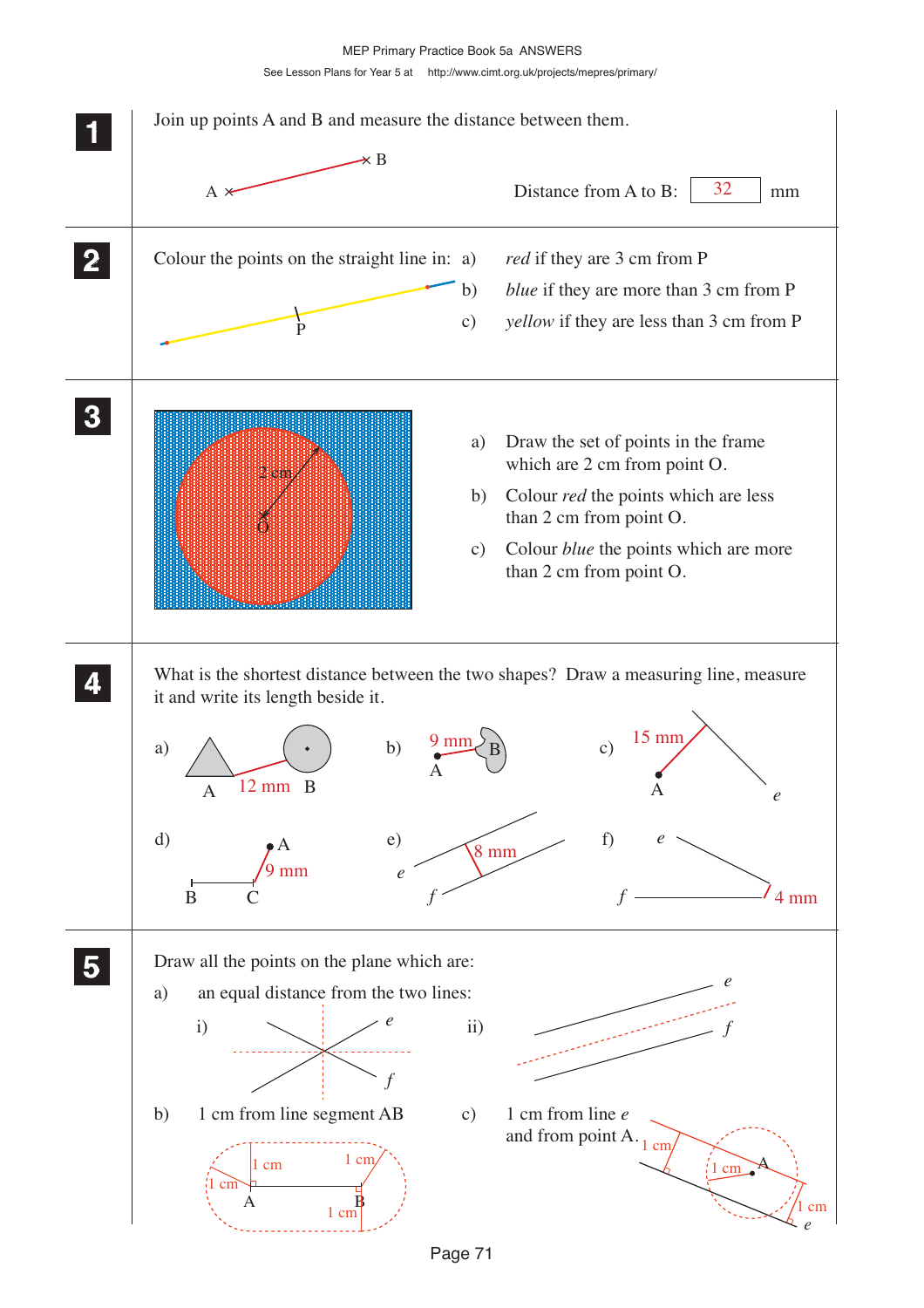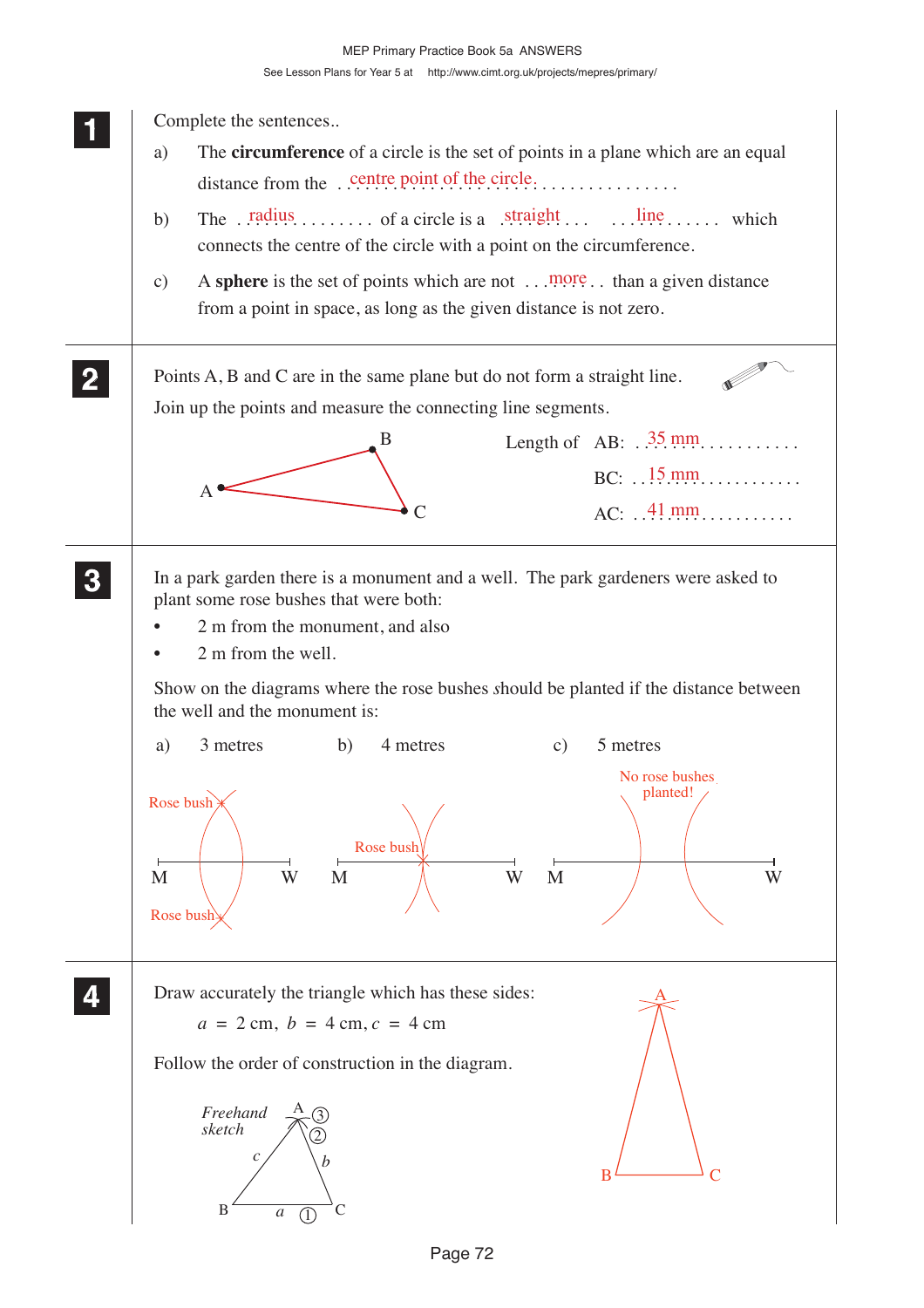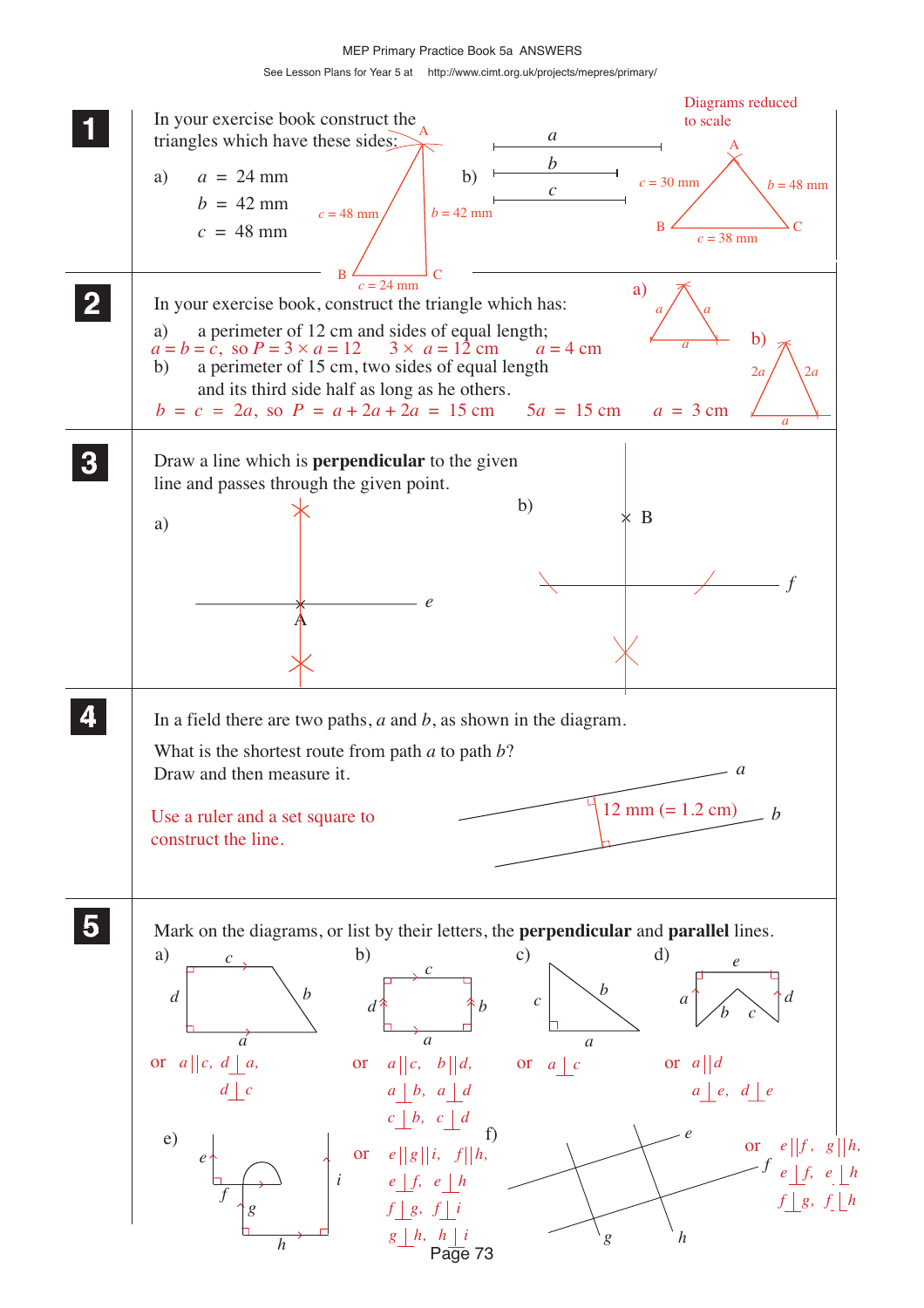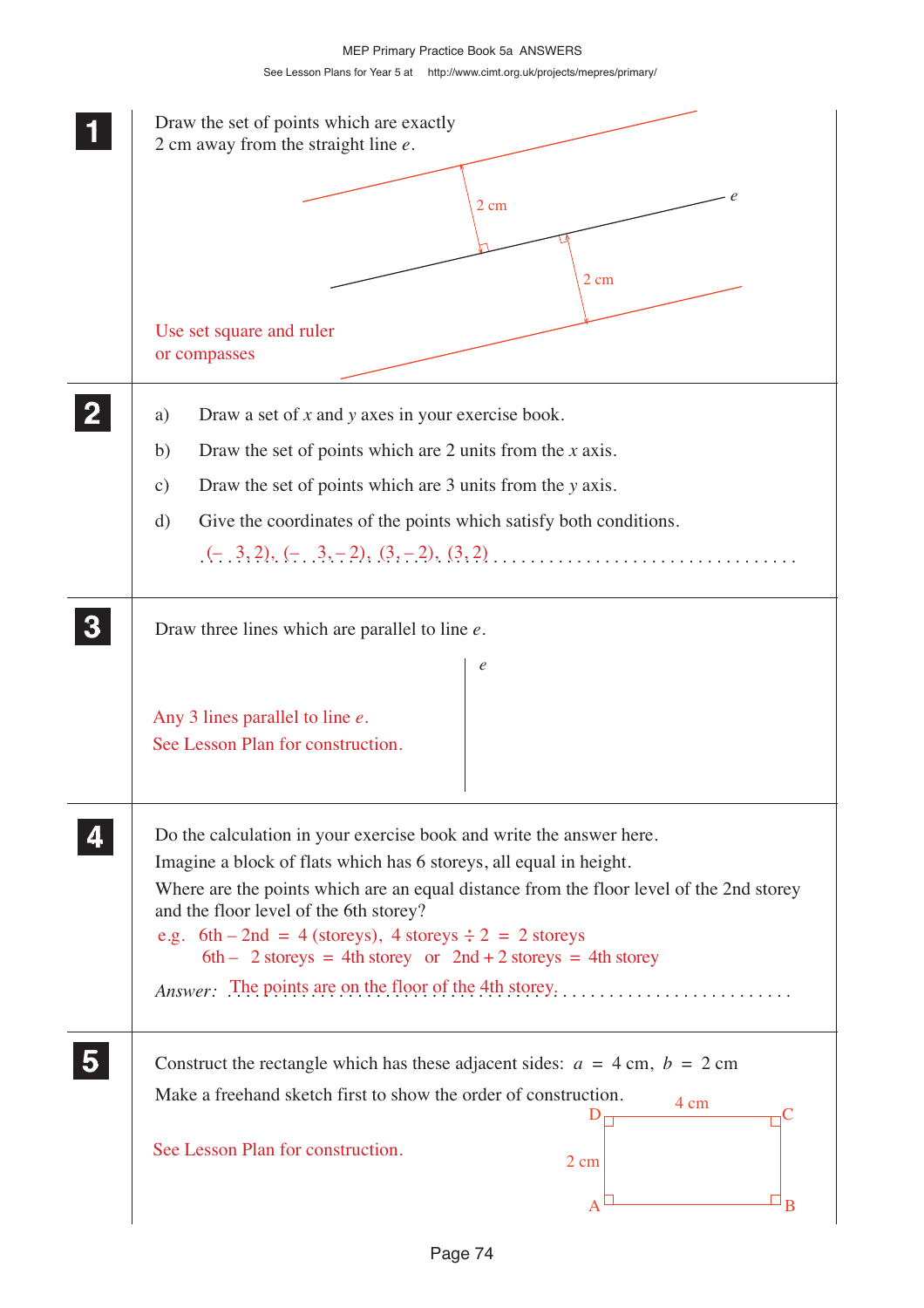| Draw the set of points which are exactly<br>2 cm away from the straight line $e$ .                                                                                                                                                                                                                                                                                                                                                                                        |
|---------------------------------------------------------------------------------------------------------------------------------------------------------------------------------------------------------------------------------------------------------------------------------------------------------------------------------------------------------------------------------------------------------------------------------------------------------------------------|
| e<br>$2 \text{ cm}$                                                                                                                                                                                                                                                                                                                                                                                                                                                       |
| 2 cm                                                                                                                                                                                                                                                                                                                                                                                                                                                                      |
| Use set square and ruler<br>or compasses                                                                                                                                                                                                                                                                                                                                                                                                                                  |
| Draw a set of $x$ and $y$ axes in your exercise book.<br>a)                                                                                                                                                                                                                                                                                                                                                                                                               |
| Draw the set of points which are 2 units from the $x$ axis.<br>b)                                                                                                                                                                                                                                                                                                                                                                                                         |
| Draw the set of points which are 3 units from the y axis.<br>c)                                                                                                                                                                                                                                                                                                                                                                                                           |
| Give the coordinates of the points which satisfy both conditions.<br>d)                                                                                                                                                                                                                                                                                                                                                                                                   |
| $(-,3,2), (-,3,-2), (3,-2), (3,2), \ldots,$                                                                                                                                                                                                                                                                                                                                                                                                                               |
| Draw three lines which are parallel to line $e$ .                                                                                                                                                                                                                                                                                                                                                                                                                         |
| $\ell$<br>Any 3 lines parallel to line $e$ .<br>See Lesson Plan for construction.                                                                                                                                                                                                                                                                                                                                                                                         |
| Do the calculation in your exercise book and write the answer here.<br>Imagine a block of flats which has 6 storeys, all equal in height.<br>Where are the points which are an equal distance from the floor level of the 2nd storey<br>and the floor level of the 6th storey?<br>e.g. 6th – 2nd = 4 (storeys), 4 storeys $\div 2 = 2$ storeys<br>6th - 2 storeys = 4th storey or $2nd + 2$ storeys = 4th storey<br>Answer: The points are on the floor of the 4th storey |
| Construct the rectangle which has these adjacent sides: $a = 4$ cm, $b = 2$ cm<br>Make a freehand sketch first to show the order of construction.<br>4 cm                                                                                                                                                                                                                                                                                                                 |
| See Lesson Plan for construction.<br>2 cm<br>B                                                                                                                                                                                                                                                                                                                                                                                                                            |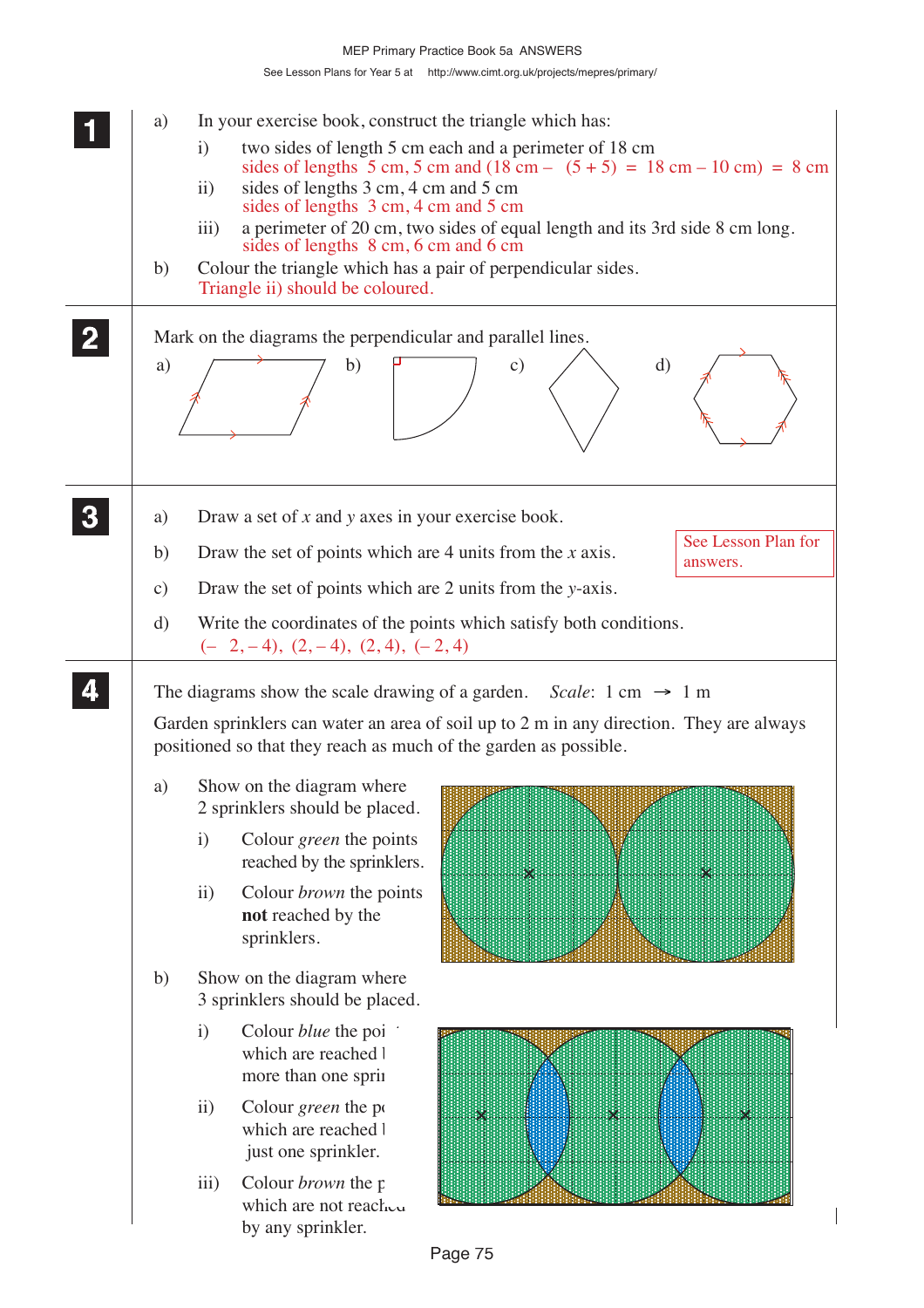| a)<br>b)<br>a) | In your exercise book, construct the triangle which has:<br>two sides of length 5 cm each and a perimeter of 18 cm<br>$\mathbf{i}$<br>sides of lengths 5 cm, 5 cm and $(18 \text{ cm} - (5 + 5) = 18 \text{ cm} - 10 \text{ cm}) = 8 \text{ cm}$<br>sides of lengths 3 cm, 4 cm and 5 cm<br>$\rm ii)$<br>sides of lengths 3 cm, 4 cm and 5 cm<br>a perimeter of 20 cm, two sides of equal length and its 3rd side 8 cm long.<br>iii)<br>sides of lengths 8 cm, 6 cm and 6 cm<br>Colour the triangle which has a pair of perpendicular sides.<br>Triangle ii) should be coloured.<br>Mark on the diagrams the perpendicular and parallel lines.<br>$\rm d)$<br>b)<br>$\mathbf{c})$ |
|----------------|-----------------------------------------------------------------------------------------------------------------------------------------------------------------------------------------------------------------------------------------------------------------------------------------------------------------------------------------------------------------------------------------------------------------------------------------------------------------------------------------------------------------------------------------------------------------------------------------------------------------------------------------------------------------------------------|
|                |                                                                                                                                                                                                                                                                                                                                                                                                                                                                                                                                                                                                                                                                                   |
| a)             | Draw a set of $x$ and $y$ axes in your exercise book.<br>See Lesson Plan for                                                                                                                                                                                                                                                                                                                                                                                                                                                                                                                                                                                                      |
| b)             | Draw the set of points which are 4 units from the $x$ axis.<br>answers.                                                                                                                                                                                                                                                                                                                                                                                                                                                                                                                                                                                                           |
| $\mathbf{c})$  | Draw the set of points which are 2 units from the y-axis.                                                                                                                                                                                                                                                                                                                                                                                                                                                                                                                                                                                                                         |
| d)             | Write the coordinates of the points which satisfy both conditions.<br>$(-2,-4), (2,-4), (2,4), (-2,4)$                                                                                                                                                                                                                                                                                                                                                                                                                                                                                                                                                                            |
|                | The diagrams show the scale drawing of a garden. Scale: $1 \text{ cm} \rightarrow 1 \text{ m}$                                                                                                                                                                                                                                                                                                                                                                                                                                                                                                                                                                                    |
|                | Garden sprinklers can water an area of soil up to 2 m in any direction. They are always<br>positioned so that they reach as much of the garden as possible.                                                                                                                                                                                                                                                                                                                                                                                                                                                                                                                       |
| a)             | Show on the diagram where<br>2 sprinklers should be placed.                                                                                                                                                                                                                                                                                                                                                                                                                                                                                                                                                                                                                       |
|                | Colour green the points<br>$\mathbf{i}$<br>reached by the sprinklers.<br>$\times$<br>$\times$                                                                                                                                                                                                                                                                                                                                                                                                                                                                                                                                                                                     |
|                | $\ddot{i}$<br>Colour <i>brown</i> the points<br>not reached by the<br>sprinklers.                                                                                                                                                                                                                                                                                                                                                                                                                                                                                                                                                                                                 |
| b)             | Show on the diagram where<br>3 sprinklers should be placed.                                                                                                                                                                                                                                                                                                                                                                                                                                                                                                                                                                                                                       |
|                | $\mathbf{i}$<br>Colour <i>blue</i> the poi<br>which are reached l<br>more than one sprin                                                                                                                                                                                                                                                                                                                                                                                                                                                                                                                                                                                          |
|                | $\rm ii)$<br>Colour green the po<br>$\times$<br>×<br>×<br>which are reached l<br>just one sprinkler.                                                                                                                                                                                                                                                                                                                                                                                                                                                                                                                                                                              |
|                | iii)<br>Colour <i>brown</i> the p<br>which are not reach.<br>by any sprinkler.                                                                                                                                                                                                                                                                                                                                                                                                                                                                                                                                                                                                    |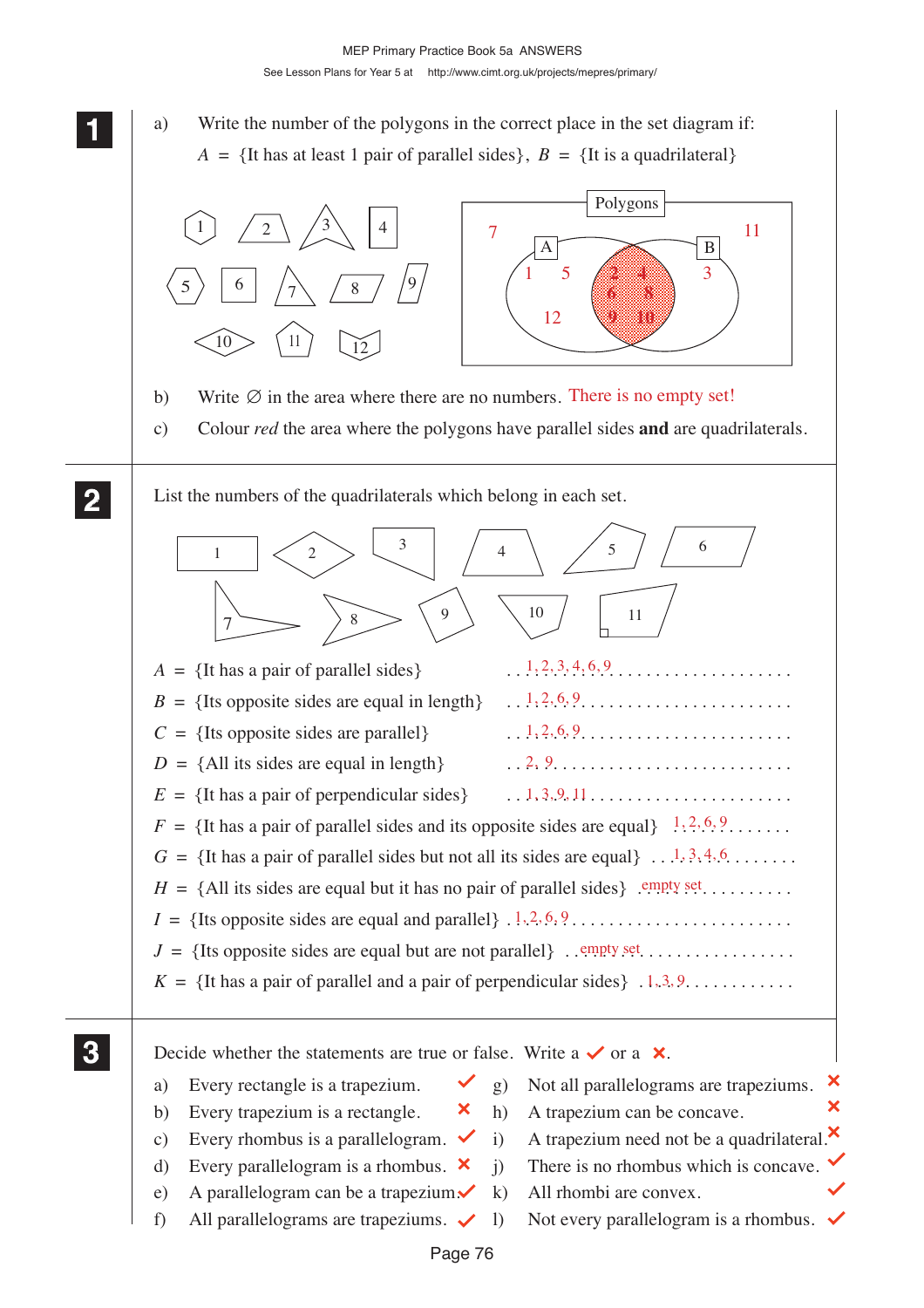See Lesson Plans for Year 5 at http://www.cimt.org.uk/projects/mepres/primary/

**11 111** a) Write the number of the polygons in the correct place in the set diagram if: **1**  $A = \{$ It has at least 1 pair of parallel sides $\}, B = \{$ It is a quadrilateral $\}$ Polygons 1  $\Big/$  2  $\Big/$   $\Big/$  3 4  $7 \sim 11$  $A \fbox{ \qquad } B$  $1 \quad 5 \quad (2 \quad 4) \quad 3$ 9 <sup>7</sup> <sup>8</sup> 5 <sup>6</sup> **6 8** 12 **9 10** 10  $\frac{11}{12}$ b) Write  $\emptyset$  in the area where there are no numbers. There is no empty set! c) Colour *red* the area where the polygons have parallel sides **and** are quadrilaterals. **2 22** List the numbers of the quadrilaterals which belong in each set. **22** 3  $4 \times 5 \times 6$ 1  $\left\langle 2 \right\rangle$   $\left\langle \right\rangle$   $\left\langle 4 \right\rangle$   $\left\langle 5 \right\rangle$  $7 \rightarrow \rightarrow \rightarrow \rightarrow \rightarrow \rightarrow \rightarrow \rightarrow \rightarrow \rightarrow \rightarrow$ 9  $\setminus$  10  $/$  11  $1, 2, 3, 4, 6, 9$  $A = \{$ It has a pair of parallel sides $\}$  $B = \{$ Its opposite sides are equal in length\}  $1, 2, 6, 9, \ldots, \ldots, \ldots, \ldots, \ldots, \ldots$  $1, 2, 6, 9, \ldots, \ldots, \ldots, \ldots, \ldots, \ldots$  $C = \{$ Its opposite sides are parallel\} 2, 9  $D = \{All its sides are equal in length\}$  $E = \{$ It has a pair of perpendicular sides $\}$  $1, 3, 9, 11, \ldots, \ldots, \ldots, \ldots, \ldots, \ldots$  $F = \{$ It has a pair of parallel sides and its opposite sides are equal  $\}$   $\{1, 2, 6, 9, \ldots \}$ .  $G = \{$ It has a pair of parallel sides but not all its sides are equal  $\} \ldots \ldots \ldots$ *H* = {All its sides are equal but it has no pair of parallel sides} . . . . . . . . . . . . . . . . . empty set  $I = \{$ Its opposite sides are equal and parallel $\}$ .  $\{1, 2, 6, 9, \ldots, \ldots, \ldots, \ldots, \ldots, \ldots\}$ *J* = {Its opposite sides are equal but are not parallel} . . . . . . . . . . . . . . . . . . . . . . . . . empty set  $K = \{$ It has a pair of parallel and a pair of perpendicular sides $\}$ .  $\{1, 3, 9, \ldots, \ldots, \ldots\}$ **3 33** Decide whether the statements are true or false. Write a  $\checkmark$  or a  $\checkmark$ . **33** × a) Every rectangle is a trapezium.  $\check{g}$  Not all parallelograms are trapeziums.  $\overline{\mathbf{x}}$ b) Every trapezium is a rectangle.  $\mathbf{\times}$  h) A trapezium can be concave. c) Every rhombus is a parallelogram.  $\checkmark$  i) A trapezium need not be a quadrilateral. d) Every parallelogram is a rhombus.  $\mathsf{X}$  i) There is no rhombus which is concave. e) A parallelogram can be a trapezium $\mathcal{N}$  k) All rhombi are convex. f) All parallelograms are trapeziums.  $\checkmark$  1) Not every parallelogram is a rhombus.  $\checkmark$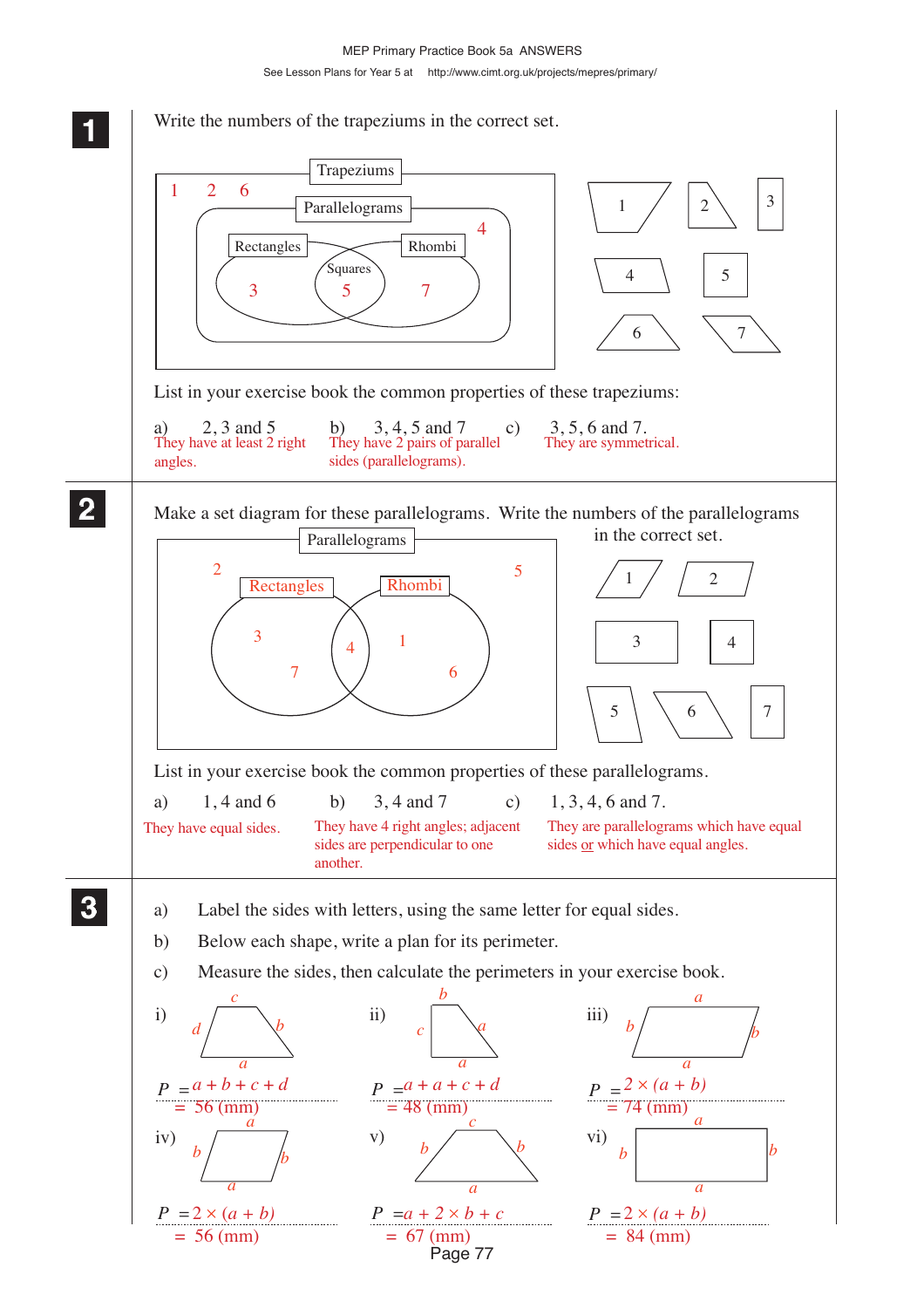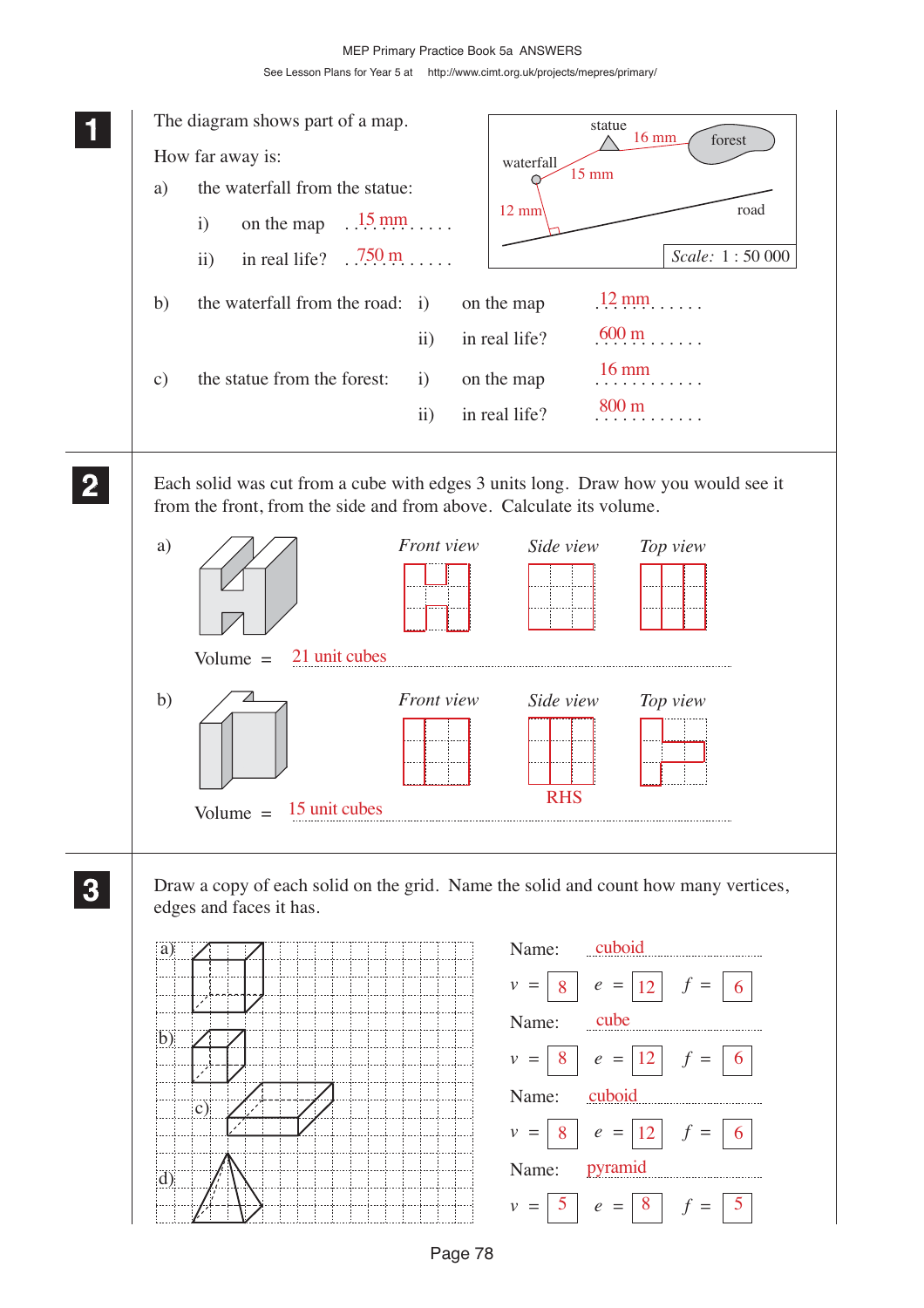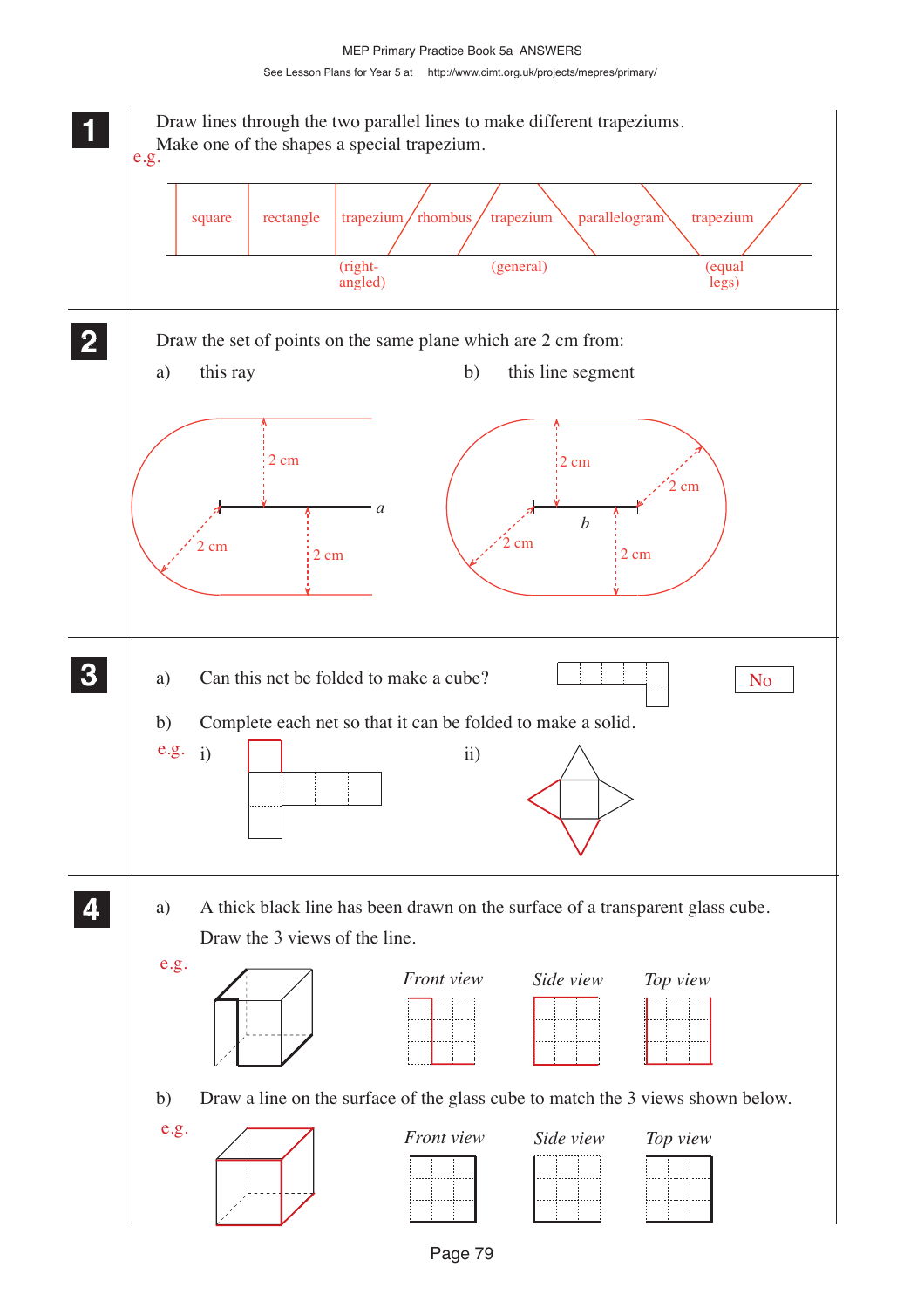